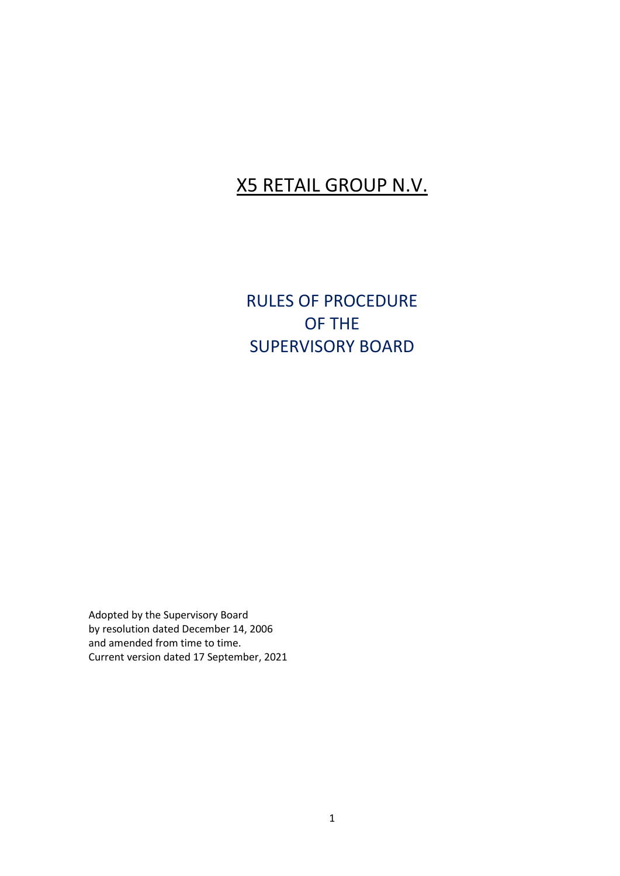## X5 RETAIL GROUP N.V.

RULES OF PROCEDURE OF THE SUPERVISORY BOARD

Adopted by the Supervisory Board by resolution dated December 14, 2006 and amended from time to time. Current version dated 17 September, 2021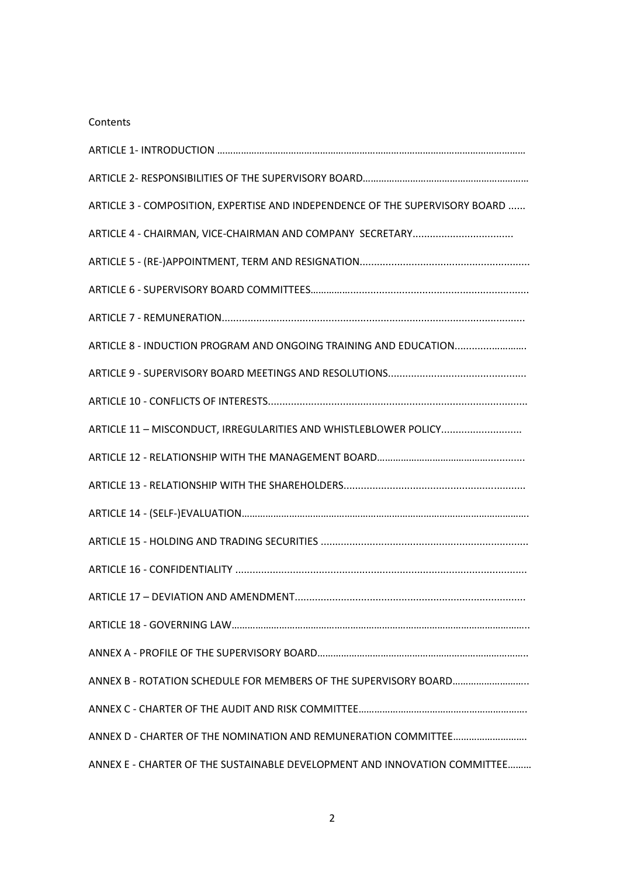#### Contents

| ARTICLE 3 - COMPOSITION, EXPERTISE AND INDEPENDENCE OF THE SUPERVISORY BOARD |
|------------------------------------------------------------------------------|
|                                                                              |
|                                                                              |
|                                                                              |
|                                                                              |
|                                                                              |
|                                                                              |
|                                                                              |
| ARTICLE 11 - MISCONDUCT, IRREGULARITIES AND WHISTLEBLOWER POLICY             |
|                                                                              |
|                                                                              |
|                                                                              |
|                                                                              |
|                                                                              |
|                                                                              |
|                                                                              |
|                                                                              |
| ANNEX B - ROTATION SCHEDULE FOR MEMBERS OF THE SUPERVISORY BOARD             |
|                                                                              |
|                                                                              |
| ANNEX E - CHARTER OF THE SUSTAINABLE DEVELOPMENT AND INNOVATION COMMITTEE    |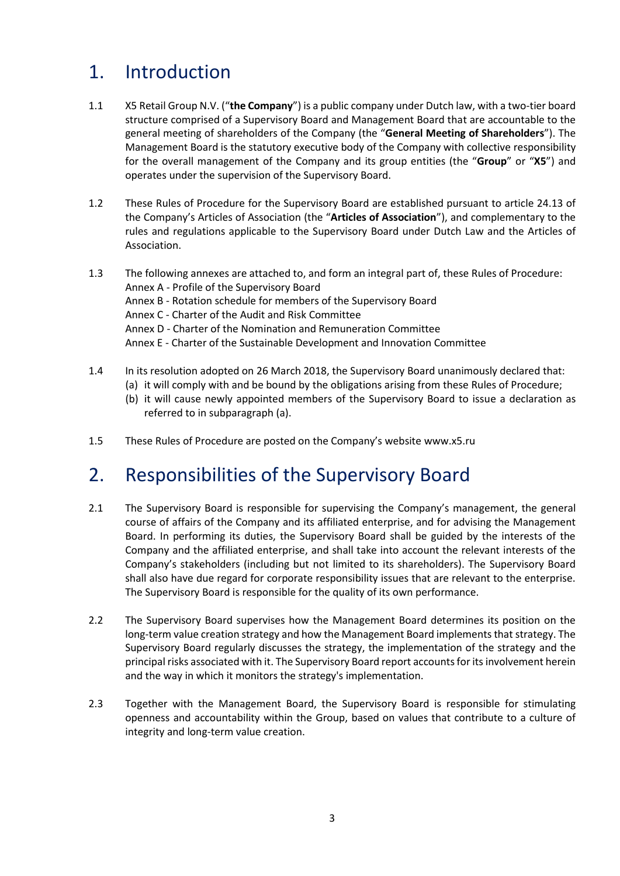# 1. Introduction

- 1.1 X5 Retail Group N.V. ("**the Company**") is a public company under Dutch law, with a two-tier board structure comprised of a Supervisory Board and Management Board that are accountable to the general meeting of shareholders of the Company (the "**General Meeting of Shareholders**"). The Management Board is the statutory executive body of the Company with collective responsibility for the overall management of the Company and its group entities (the "**Group**" or "**X5**") and operates under the supervision of the Supervisory Board.
- 1.2 These Rules of Procedure for the Supervisory Board are established pursuant to article 24.13 of the Company's Articles of Association (the "**Articles of Association**"), and complementary to the rules and regulations applicable to the Supervisory Board under Dutch Law and the Articles of Association.
- 1.3 The following annexes are attached to, and form an integral part of, these Rules of Procedure: Annex A - Profile of the Supervisory Board Annex B - Rotation schedule for members of the Supervisory Board Annex C - Charter of the Audit and Risk Committee Annex D - Charter of the Nomination and Remuneration Committee Annex E - Charter of the Sustainable Development and Innovation Committee
- 1.4 In its resolution adopted on 26 March 2018, the Supervisory Board unanimously declared that:
	- (a) it will comply with and be bound by the obligations arising from these Rules of Procedure;
	- (b) it will cause newly appointed members of the Supervisory Board to issue a declaration as referred to in subparagraph (a).
- 1.5 These Rules of Procedure are posted on the Company's website [www.x5.ru](http://www.x5.ru/)

# 2. Responsibilities of the Supervisory Board

- 2.1 The Supervisory Board is responsible for supervising the Company's management, the general course of affairs of the Company and its affiliated enterprise, and for advising the Management Board. In performing its duties, the Supervisory Board shall be guided by the interests of the Company and the affiliated enterprise, and shall take into account the relevant interests of the Company's stakeholders (including but not limited to its shareholders). The Supervisory Board shall also have due regard for corporate responsibility issues that are relevant to the enterprise. The Supervisory Board is responsible for the quality of its own performance.
- 2.2 The Supervisory Board supervises how the Management Board determines its position on the long-term value creation strategy and how the Management Board implements that strategy. The Supervisory Board regularly discusses the strategy, the implementation of the strategy and the principal risks associated with it. The Supervisory Board report accounts for its involvement herein and the way in which it monitors the strategy's implementation.
- 2.3 Together with the Management Board, the Supervisory Board is responsible for stimulating openness and accountability within the Group, based on values that contribute to a culture of integrity and long-term value creation.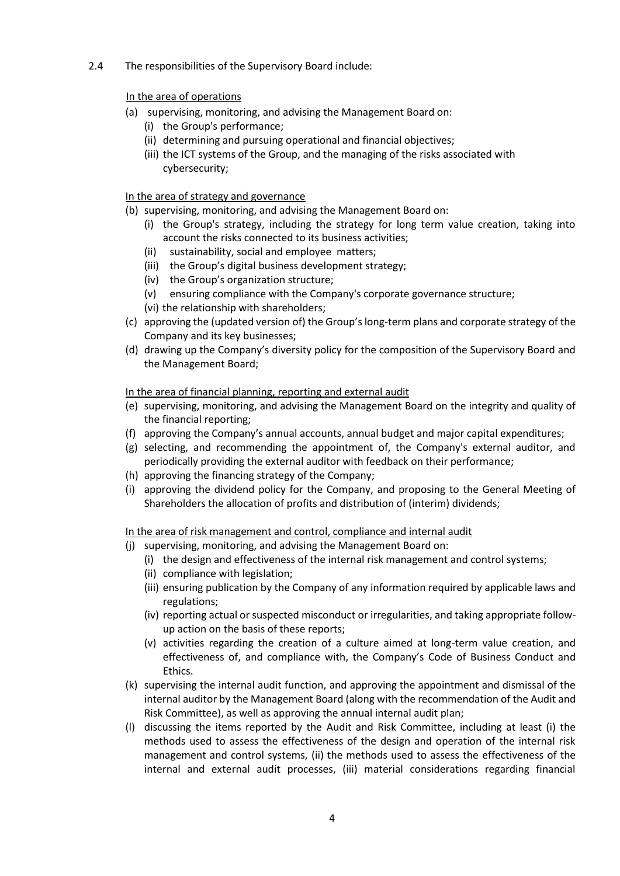2.4 The responsibilities of the Supervisory Board include:

#### In the area of operations

- (a) supervising, monitoring, and advising the Management Board on:
	- (i) the Group's performance;
	- (ii) determining and pursuing operational and financial objectives;
	- (iii) the ICT systems of the Group, and the managing of the risks associated with cybersecurity;

#### In the area of strategy and governance

- (b) supervising, monitoring, and advising the Management Board on:
	- (i) the Group's strategy, including the strategy for long term value creation, taking into account the risks connected to its business activities;
	- (ii) sustainability, social and employee matters;
	- (iii) the Group's digital business development strategy;
	- (iv) the Group's organization structure;
	- (v) ensuring compliance with the Company's corporate governance structure;
	- (vi) the relationship with shareholders;
- (c) approving the (updated version of) the Group's long-term plans and corporate strategy of the Company and its key businesses;
- (d) drawing up the Company's diversity policy for the composition of the Supervisory Board and the Management Board;

#### In the area of financial planning, reporting and external audit

- (e) supervising, monitoring, and advising the Management Board on the integrity and quality of the financial reporting;
- (f) approving the Company's annual accounts, annual budget and major capital expenditures;
- (g) selecting, and recommending the appointment of, the Company's external auditor, and periodically providing the external auditor with feedback on their performance;
- (h) approving the financing strategy of the Company;
- (i) approving the dividend policy for the Company, and proposing to the General Meeting of Shareholders the allocation of profits and distribution of (interim) dividends;

In the area of risk management and control, compliance and internal audit

- (j) supervising, monitoring, and advising the Management Board on:
	- (i) the design and effectiveness of the internal risk management and control systems;
	- (ii) compliance with legislation;
	- (iii) ensuring publication by the Company of any information required by applicable laws and regulations;
	- (iv) reporting actual or suspected misconduct or irregularities, and taking appropriate followup action on the basis of these reports;
	- (v) activities regarding the creation of a culture aimed at long-term value creation, and effectiveness of, and compliance with, the Company's Code of Business Conduct and Ethics.
- (k) supervising the internal audit function, and approving the appointment and dismissal of the internal auditor by the Management Board (along with the recommendation of the Audit and Risk Committee), as well as approving the annual internal audit plan;
- (l) discussing the items reported by the Audit and Risk Committee, including at least (i) the methods used to assess the effectiveness of the design and operation of the internal risk management and control systems, (ii) the methods used to assess the effectiveness of the internal and external audit processes, (iii) material considerations regarding financial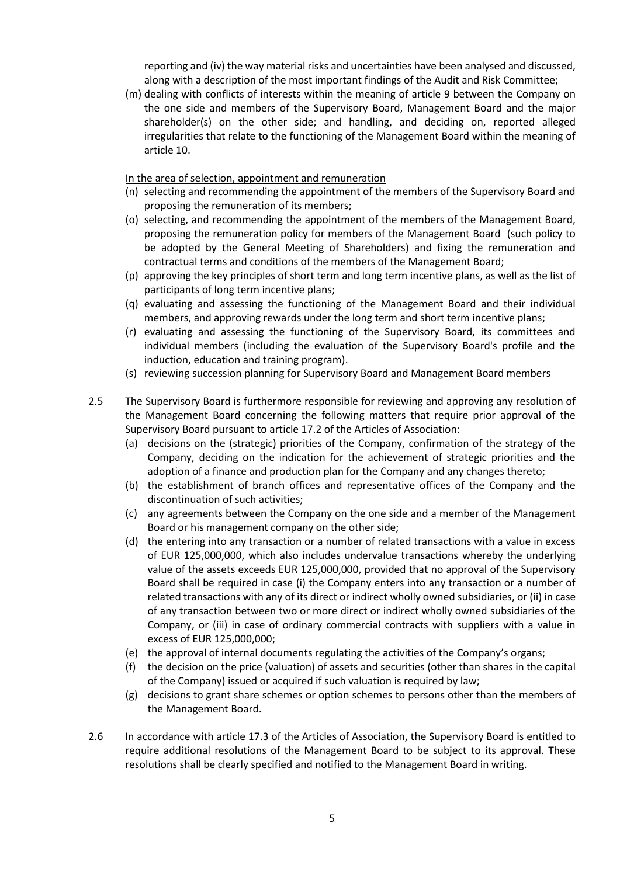reporting and (iv) the way material risks and uncertainties have been analysed and discussed, along with a description of the most important findings of the Audit and Risk Committee;

(m) dealing with conflicts of interests within the meaning of article 9 between the Company on the one side and members of the Supervisory Board, Management Board and the major shareholder(s) on the other side; and handling, and deciding on, reported alleged irregularities that relate to the functioning of the Management Board within the meaning of article 10.

In the area of selection, appointment and remuneration

- (n) selecting and recommending the appointment of the members of the Supervisory Board and proposing the remuneration of its members;
- (o) selecting, and recommending the appointment of the members of the Management Board, proposing the remuneration policy for members of the Management Board (such policy to be adopted by the General Meeting of Shareholders) and fixing the remuneration and contractual terms and conditions of the members of the Management Board;
- (p) approving the key principles of short term and long term incentive plans, as well as the list of participants of long term incentive plans;
- (q) evaluating and assessing the functioning of the Management Board and their individual members, and approving rewards under the long term and short term incentive plans;
- (r) evaluating and assessing the functioning of the Supervisory Board, its committees and individual members (including the evaluation of the Supervisory Board's profile and the induction, education and training program).
- (s) reviewing succession planning for Supervisory Board and Management Board members
- 2.5 The Supervisory Board is furthermore responsible for reviewing and approving any resolution of the Management Board concerning the following matters that require prior approval of the Supervisory Board pursuant to article 17.2 of the Articles of Association:
	- (a) decisions on the (strategic) priorities of the Company, confirmation of the strategy of the Company, deciding on the indication for the achievement of strategic priorities and the adoption of a finance and production plan for the Company and any changes thereto;
	- (b) the establishment of branch offices and representative offices of the Company and the discontinuation of such activities;
	- (c) any agreements between the Company on the one side and a member of the Management Board or his management company on the other side;
	- (d) the entering into any transaction or a number of related transactions with a value in excess of EUR 125,000,000, which also includes undervalue transactions whereby the underlying value of the assets exceeds EUR 125,000,000, provided that no approval of the Supervisory Board shall be required in case (i) the Company enters into any transaction or a number of related transactions with any of its direct or indirect wholly owned subsidiaries, or (ii) in case of any transaction between two or more direct or indirect wholly owned subsidiaries of the Company, or (iii) in case of ordinary commercial contracts with suppliers with a value in excess of EUR 125,000,000;
	- (e) the approval of internal documents regulating the activities of the Company's organs;
	- (f) the decision on the price (valuation) of assets and securities (other than shares in the capital of the Company) issued or acquired if such valuation is required by law;
	- (g) decisions to grant share schemes or option schemes to persons other than the members of the Management Board.
- 2.6 In accordance with article 17.3 of the Articles of Association, the Supervisory Board is entitled to require additional resolutions of the Management Board to be subject to its approval. These resolutions shall be clearly specified and notified to the Management Board in writing.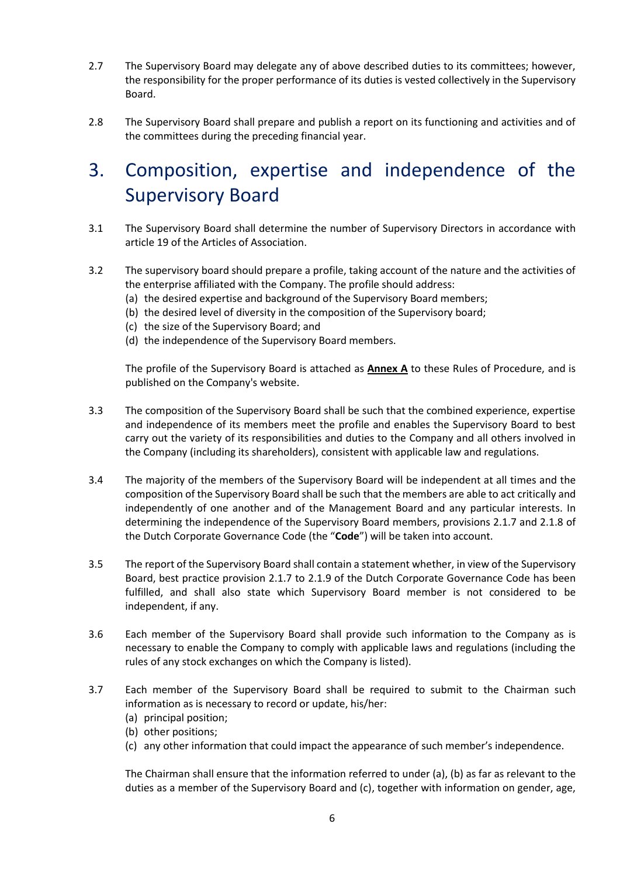- 2.7 The Supervisory Board may delegate any of above described duties to its committees; however, the responsibility for the proper performance of its duties is vested collectively in the Supervisory Board.
- 2.8 The Supervisory Board shall prepare and publish a report on its functioning and activities and of the committees during the preceding financial year.

# 3. Composition, expertise and independence of the Supervisory Board

- 3.1 The Supervisory Board shall determine the number of Supervisory Directors in accordance with article 19 of the Articles of Association.
- 3.2 The supervisory board should prepare a profile, taking account of the nature and the activities of the enterprise affiliated with the Company. The profile should address:
	- (a) the desired expertise and background of the Supervisory Board members;
	- (b) the desired level of diversity in the composition of the Supervisory board;
	- (c) the size of the Supervisory Board; and
	- (d) the independence of the Supervisory Board members.

The profile of the Supervisory Board is attached as **Annex A** to these Rules of Procedure, and is published on the Company's website.

- 3.3 The composition of the Supervisory Board shall be such that the combined experience, expertise and independence of its members meet the profile and enables the Supervisory Board to best carry out the variety of its responsibilities and duties to the Company and all others involved in the Company (including its shareholders), consistent with applicable law and regulations.
- 3.4 The majority of the members of the Supervisory Board will be independent at all times and the composition of the Supervisory Board shall be such that the members are able to act critically and independently of one another and of the Management Board and any particular interests. In determining the independence of the Supervisory Board members, provisions 2.1.7 and 2.1.8 of the Dutch Corporate Governance Code (the "**Code**") will be taken into account.
- 3.5 The report of the Supervisory Board shall contain a statement whether, in view of the Supervisory Board, best practice provision 2.1.7 to 2.1.9 of the Dutch Corporate Governance Code has been fulfilled, and shall also state which Supervisory Board member is not considered to be independent, if any.
- 3.6 Each member of the Supervisory Board shall provide such information to the Company as is necessary to enable the Company to comply with applicable laws and regulations (including the rules of any stock exchanges on which the Company is listed).
- 3.7 Each member of the Supervisory Board shall be required to submit to the Chairman such information as is necessary to record or update, his/her:
	- (a) principal position;
	- (b) other positions;
	- (c) any other information that could impact the appearance of such member's independence.

The Chairman shall ensure that the information referred to under (a), (b) as far as relevant to the duties as a member of the Supervisory Board and (c), together with information on gender, age,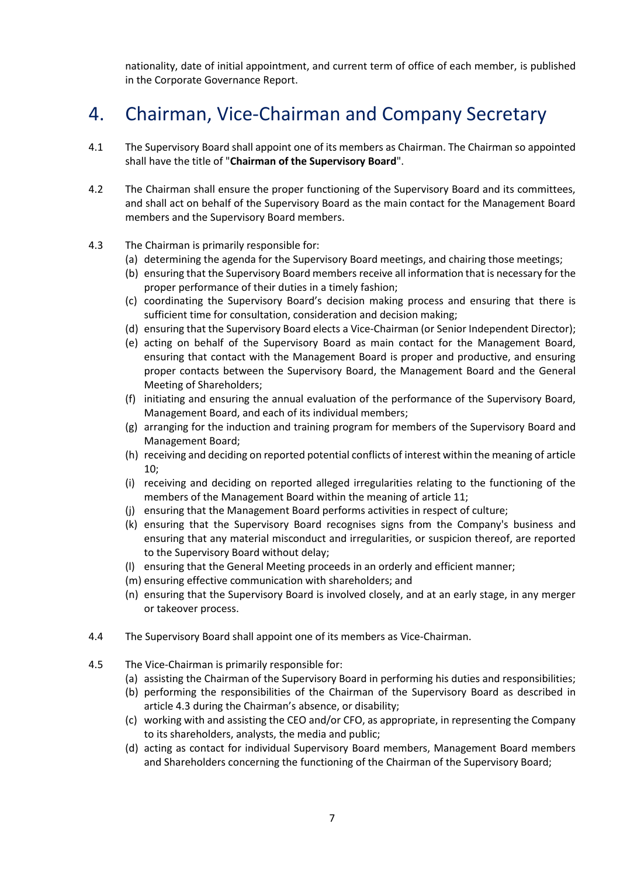nationality, date of initial appointment, and current term of office of each member, is published in the Corporate Governance Report.

# 4. Chairman, Vice-Chairman and Company Secretary

- 4.1 The Supervisory Board shall appoint one of its members as Chairman. The Chairman so appointed shall have the title of "**Chairman of the Supervisory Board**".
- 4.2 The Chairman shall ensure the proper functioning of the Supervisory Board and its committees, and shall act on behalf of the Supervisory Board as the main contact for the Management Board members and the Supervisory Board members.
- 4.3 The Chairman is primarily responsible for:
	- (a) determining the agenda for the Supervisory Board meetings, and chairing those meetings;
	- (b) ensuring that the Supervisory Board members receive all information that is necessary for the proper performance of their duties in a timely fashion;
	- (c) coordinating the Supervisory Board's decision making process and ensuring that there is sufficient time for consultation, consideration and decision making;
	- (d) ensuring that the Supervisory Board elects a Vice-Chairman (or Senior Independent Director);
	- (e) acting on behalf of the Supervisory Board as main contact for the Management Board, ensuring that contact with the Management Board is proper and productive, and ensuring proper contacts between the Supervisory Board, the Management Board and the General Meeting of Shareholders;
	- (f) initiating and ensuring the annual evaluation of the performance of the Supervisory Board, Management Board, and each of its individual members;
	- (g) arranging for the induction and training program for members of the Supervisory Board and Management Board;
	- (h) receiving and deciding on reported potential conflicts of interest within the meaning of article 10;
	- (i) receiving and deciding on reported alleged irregularities relating to the functioning of the members of the Management Board within the meaning of article 11;
	- (j) ensuring that the Management Board performs activities in respect of culture;
	- (k) ensuring that the Supervisory Board recognises signs from the Company's business and ensuring that any material misconduct and irregularities, or suspicion thereof, are reported to the Supervisory Board without delay;
	- (l) ensuring that the General Meeting proceeds in an orderly and efficient manner;
	- (m) ensuring effective communication with shareholders; and
	- (n) ensuring that the Supervisory Board is involved closely, and at an early stage, in any merger or takeover process.
- 4.4 The Supervisory Board shall appoint one of its members as Vice-Chairman.
- 4.5 The Vice-Chairman is primarily responsible for:
	- (a) assisting the Chairman of the Supervisory Board in performing his duties and responsibilities;
	- (b) performing the responsibilities of the Chairman of the Supervisory Board as described in article 4.3 during the Chairman's absence, or disability;
	- (c) working with and assisting the CEO and/or CFO, as appropriate, in representing the Company to its shareholders, analysts, the media and public;
	- (d) acting as contact for individual Supervisory Board members, Management Board members and Shareholders concerning the functioning of the Chairman of the Supervisory Board;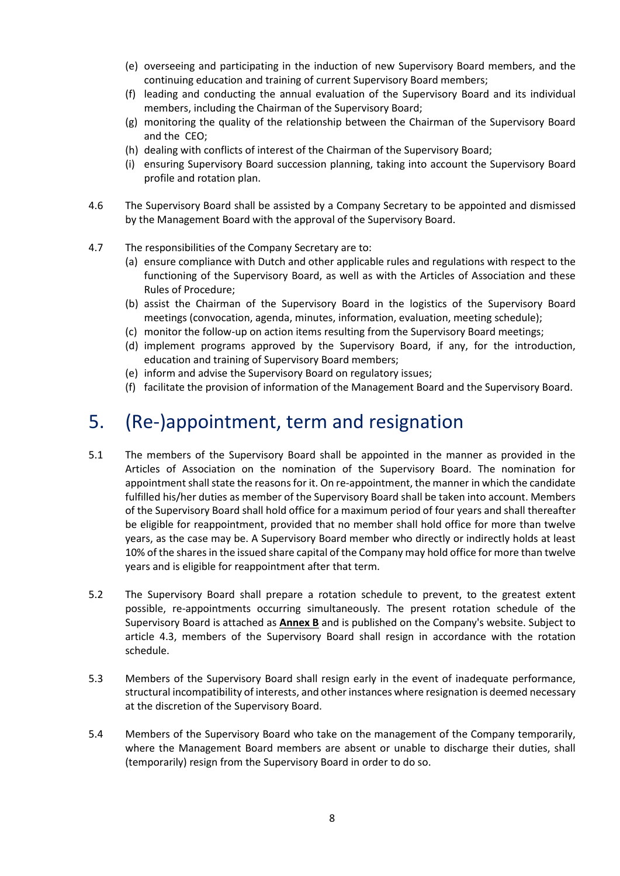- (e) overseeing and participating in the induction of new Supervisory Board members, and the continuing education and training of current Supervisory Board members;
- (f) leading and conducting the annual evaluation of the Supervisory Board and its individual members, including the Chairman of the Supervisory Board;
- (g) monitoring the quality of the relationship between the Chairman of the Supervisory Board and the CEO;
- (h) dealing with conflicts of interest of the Chairman of the Supervisory Board;
- (i) ensuring Supervisory Board succession planning, taking into account the Supervisory Board profile and rotation plan.
- 4.6 The Supervisory Board shall be assisted by a Company Secretary to be appointed and dismissed by the Management Board with the approval of the Supervisory Board.
- 4.7 The responsibilities of the Company Secretary are to:
	- (a) ensure compliance with Dutch and other applicable rules and regulations with respect to the functioning of the Supervisory Board, as well as with the Articles of Association and these Rules of Procedure;
	- (b) assist the Chairman of the Supervisory Board in the logistics of the Supervisory Board meetings (convocation, agenda, minutes, information, evaluation, meeting schedule);
	- (c) monitor the follow-up on action items resulting from the Supervisory Board meetings;
	- (d) implement programs approved by the Supervisory Board, if any, for the introduction, education and training of Supervisory Board members;
	- (e) inform and advise the Supervisory Board on regulatory issues;
	- (f) facilitate the provision of information of the Management Board and the Supervisory Board.

## 5. (Re-)appointment, term and resignation

- 5.1 The members of the Supervisory Board shall be appointed in the manner as provided in the Articles of Association on the nomination of the Supervisory Board. The nomination for appointment shall state the reasons for it. On re-appointment, the manner in which the candidate fulfilled his/her duties as member of the Supervisory Board shall be taken into account. Members of the Supervisory Board shall hold office for a maximum period of four years and shall thereafter be eligible for reappointment, provided that no member shall hold office for more than twelve years, as the case may be. A Supervisory Board member who directly or indirectly holds at least 10% of the shares in the issued share capital of the Company may hold office for more than twelve years and is eligible for reappointment after that term.
- 5.2 The Supervisory Board shall prepare a rotation schedule to prevent, to the greatest extent possible, re-appointments occurring simultaneously. The present rotation schedule of the Supervisory Board is attached as **Annex B** and is published on the Company's website. Subject to article 4.3, members of the Supervisory Board shall resign in accordance with the rotation schedule.
- 5.3 Members of the Supervisory Board shall resign early in the event of inadequate performance, structural incompatibility of interests, and other instances where resignation is deemed necessary at the discretion of the Supervisory Board.
- 5.4 Members of the Supervisory Board who take on the management of the Company temporarily, where the Management Board members are absent or unable to discharge their duties, shall (temporarily) resign from the Supervisory Board in order to do so.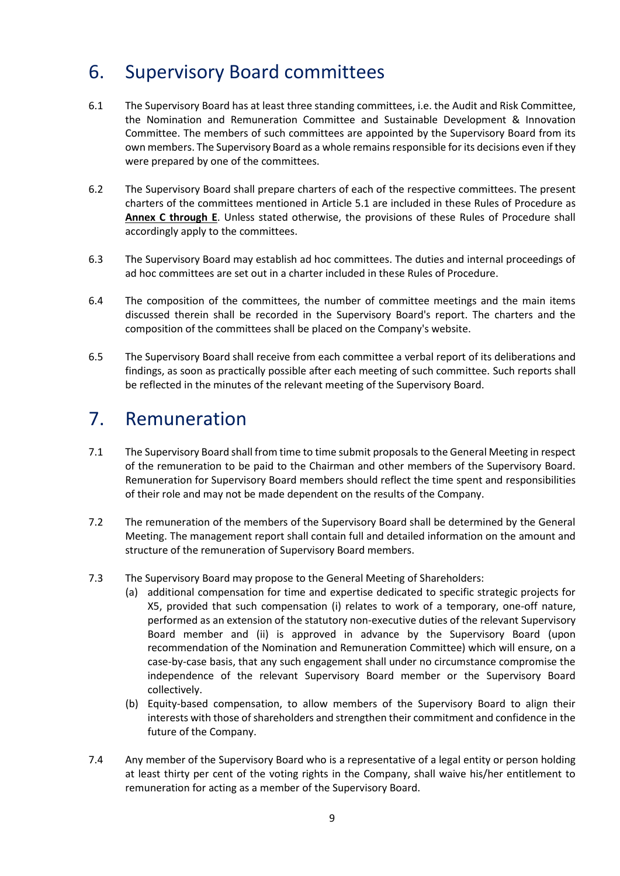# 6. Supervisory Board committees

- 6.1 The Supervisory Board has at least three standing committees, i.e. the Audit and Risk Committee, the Nomination and Remuneration Committee and Sustainable Development & Innovation Committee. The members of such committees are appointed by the Supervisory Board from its own members. The Supervisory Board as a whole remains responsible for its decisions even if they were prepared by one of the committees.
- 6.2 The Supervisory Board shall prepare charters of each of the respective committees. The present charters of the committees mentioned in Article 5.1 are included in these Rules of Procedure as **Annex C through E**. Unless stated otherwise, the provisions of these Rules of Procedure shall accordingly apply to the committees.
- 6.3 The Supervisory Board may establish ad hoc committees. The duties and internal proceedings of ad hoc committees are set out in a charter included in these Rules of Procedure.
- 6.4 The composition of the committees, the number of committee meetings and the main items discussed therein shall be recorded in the Supervisory Board's report. The charters and the composition of the committees shall be placed on the Company's website.
- 6.5 The Supervisory Board shall receive from each committee a verbal report of its deliberations and findings, as soon as practically possible after each meeting of such committee. Such reports shall be reflected in the minutes of the relevant meeting of the Supervisory Board.

### 7. Remuneration

- 7.1 The Supervisory Board shall from time to time submit proposals to the General Meeting in respect of the remuneration to be paid to the Chairman and other members of the Supervisory Board. Remuneration for Supervisory Board members should reflect the time spent and responsibilities of their role and may not be made dependent on the results of the Company.
- 7.2 The remuneration of the members of the Supervisory Board shall be determined by the General Meeting. The management report shall contain full and detailed information on the amount and structure of the remuneration of Supervisory Board members.
- 7.3 The Supervisory Board may propose to the General Meeting of Shareholders:
	- (a) additional compensation for time and expertise dedicated to specific strategic projects for X5, provided that such compensation (i) relates to work of a temporary, one-off nature, performed as an extension of the statutory non-executive duties of the relevant Supervisory Board member and (ii) is approved in advance by the Supervisory Board (upon recommendation of the Nomination and Remuneration Committee) which will ensure, on a case-by-case basis, that any such engagement shall under no circumstance compromise the independence of the relevant Supervisory Board member or the Supervisory Board collectively.
	- (b) Equity-based compensation, to allow members of the Supervisory Board to align their interests with those of shareholders and strengthen their commitment and confidence in the future of the Company.
- 7.4 Any member of the Supervisory Board who is a representative of a legal entity or person holding at least thirty per cent of the voting rights in the Company, shall waive his/her entitlement to remuneration for acting as a member of the Supervisory Board.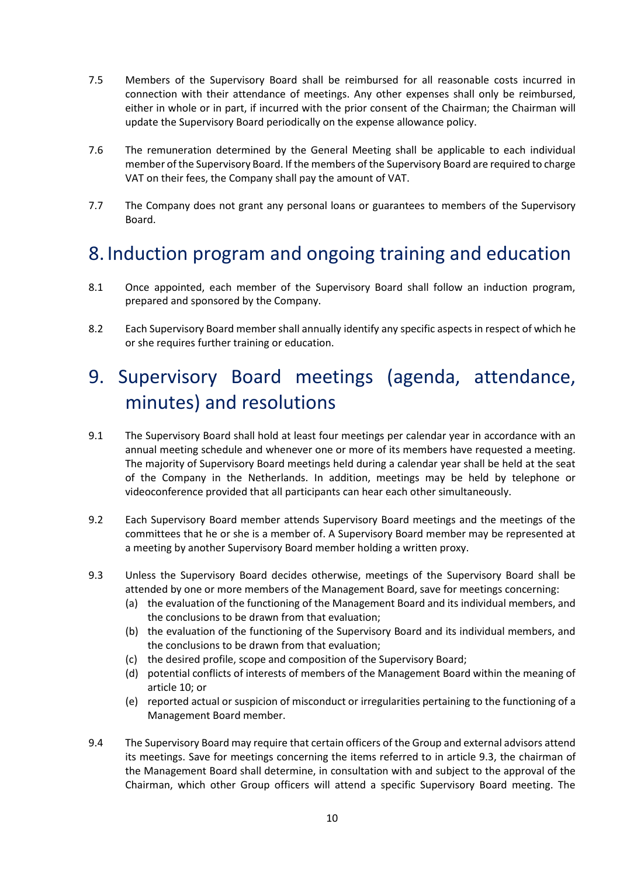- 7.5 Members of the Supervisory Board shall be reimbursed for all reasonable costs incurred in connection with their attendance of meetings. Any other expenses shall only be reimbursed, either in whole or in part, if incurred with the prior consent of the Chairman; the Chairman will update the Supervisory Board periodically on the expense allowance policy.
- 7.6 The remuneration determined by the General Meeting shall be applicable to each individual member of the Supervisory Board. If the members of the Supervisory Board are required to charge VAT on their fees, the Company shall pay the amount of VAT.
- 7.7 The Company does not grant any personal loans or guarantees to members of the Supervisory Board.

## 8. Induction program and ongoing training and education

- 8.1 Once appointed, each member of the Supervisory Board shall follow an induction program, prepared and sponsored by the Company.
- 8.2 Each Supervisory Board member shall annually identify any specific aspects in respect of which he or she requires further training or education.

# 9. Supervisory Board meetings (agenda, attendance, minutes) and resolutions

- 9.1 The Supervisory Board shall hold at least four meetings per calendar year in accordance with an annual meeting schedule and whenever one or more of its members have requested a meeting. The majority of Supervisory Board meetings held during a calendar year shall be held at the seat of the Company in the Netherlands. In addition, meetings may be held by telephone or videoconference provided that all participants can hear each other simultaneously.
- 9.2 Each Supervisory Board member attends Supervisory Board meetings and the meetings of the committees that he or she is a member of. A Supervisory Board member may be represented at a meeting by another Supervisory Board member holding a written proxy.
- 9.3 Unless the Supervisory Board decides otherwise, meetings of the Supervisory Board shall be attended by one or more members of the Management Board, save for meetings concerning:
	- (a) the evaluation of the functioning of the Management Board and its individual members, and the conclusions to be drawn from that evaluation;
	- (b) the evaluation of the functioning of the Supervisory Board and its individual members, and the conclusions to be drawn from that evaluation;
	- (c) the desired profile, scope and composition of the Supervisory Board;
	- (d) potential conflicts of interests of members of the Management Board within the meaning of article 10; or
	- (e) reported actual or suspicion of misconduct or irregularities pertaining to the functioning of a Management Board member.
- 9.4 The Supervisory Board may require that certain officers of the Group and external advisors attend its meetings. Save for meetings concerning the items referred to in article 9.3, the chairman of the Management Board shall determine, in consultation with and subject to the approval of the Chairman, which other Group officers will attend a specific Supervisory Board meeting. The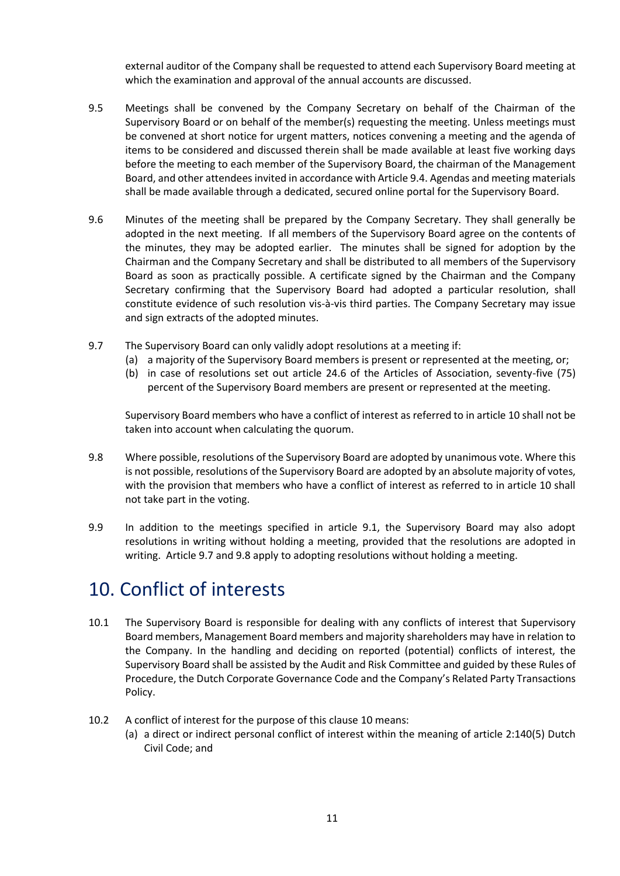external auditor of the Company shall be requested to attend each Supervisory Board meeting at which the examination and approval of the annual accounts are discussed.

- 9.5 Meetings shall be convened by the Company Secretary on behalf of the Chairman of the Supervisory Board or on behalf of the member(s) requesting the meeting. Unless meetings must be convened at short notice for urgent matters, notices convening a meeting and the agenda of items to be considered and discussed therein shall be made available at least five working days before the meeting to each member of the Supervisory Board, the chairman of the Management Board, and other attendees invited in accordance with Article 9.4. Agendas and meeting materials shall be made available through a dedicated, secured online portal for the Supervisory Board.
- 9.6 Minutes of the meeting shall be prepared by the Company Secretary. They shall generally be adopted in the next meeting. If all members of the Supervisory Board agree on the contents of the minutes, they may be adopted earlier. The minutes shall be signed for adoption by the Chairman and the Company Secretary and shall be distributed to all members of the Supervisory Board as soon as practically possible. A certificate signed by the Chairman and the Company Secretary confirming that the Supervisory Board had adopted a particular resolution, shall constitute evidence of such resolution vis-à-vis third parties. The Company Secretary may issue and sign extracts of the adopted minutes.
- 9.7 The Supervisory Board can only validly adopt resolutions at a meeting if:
	- (a) a majority of the Supervisory Board members is present or represented at the meeting, or;
	- (b) in case of resolutions set out article 24.6 of the Articles of Association, seventy-five (75) percent of the Supervisory Board members are present or represented at the meeting.

Supervisory Board members who have a conflict of interest as referred to in article 10 shall not be taken into account when calculating the quorum.

- 9.8 Where possible, resolutions of the Supervisory Board are adopted by unanimous vote. Where this is not possible, resolutions of the Supervisory Board are adopted by an absolute majority of votes, with the provision that members who have a conflict of interest as referred to in article 10 shall not take part in the voting.
- 9.9 In addition to the meetings specified in article 9.1, the Supervisory Board may also adopt resolutions in writing without holding a meeting, provided that the resolutions are adopted in writing. Article 9.7 and 9.8 apply to adopting resolutions without holding a meeting.

### 10. Conflict of interests

- 10.1 The Supervisory Board is responsible for dealing with any conflicts of interest that Supervisory Board members, Management Board members and majority shareholders may have in relation to the Company. In the handling and deciding on reported (potential) conflicts of interest, the Supervisory Board shall be assisted by the Audit and Risk Committee and guided by these Rules of Procedure, the Dutch Corporate Governance Code and the Company's Related Party Transactions Policy.
- 10.2 A conflict of interest for the purpose of this clause 10 means:
	- (a) a direct or indirect personal conflict of interest within the meaning of article 2:140(5) Dutch Civil Code; and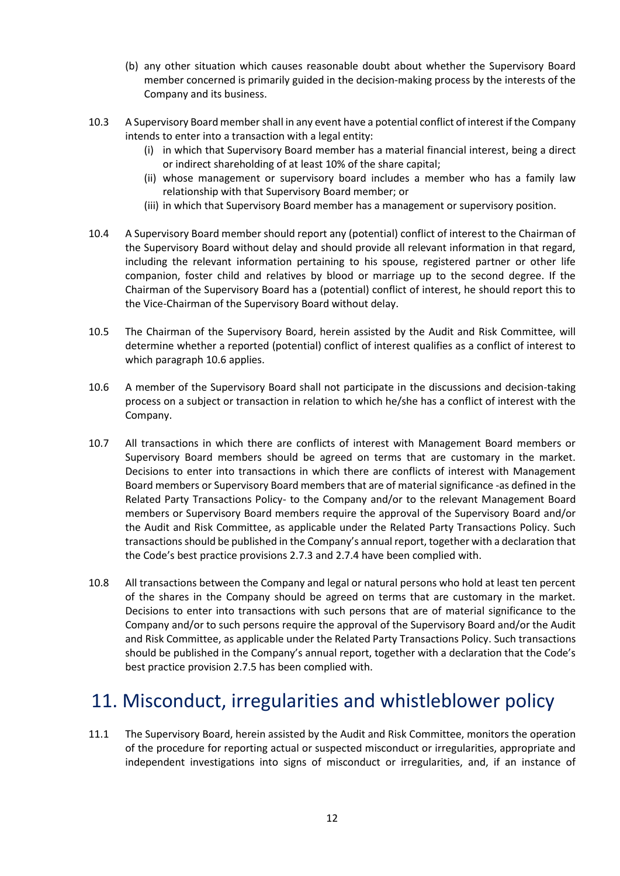- (b) any other situation which causes reasonable doubt about whether the Supervisory Board member concerned is primarily guided in the decision-making process by the interests of the Company and its business.
- 10.3 A Supervisory Board member shall in any event have a potential conflict of interest if the Company intends to enter into a transaction with a legal entity:
	- (i) in which that Supervisory Board member has a material financial interest, being a direct or indirect shareholding of at least 10% of the share capital;
	- (ii) whose management or supervisory board includes a member who has a family law relationship with that Supervisory Board member; or
	- (iii) in which that Supervisory Board member has a management or supervisory position.
- 10.4 A Supervisory Board member should report any (potential) conflict of interest to the Chairman of the Supervisory Board without delay and should provide all relevant information in that regard, including the relevant information pertaining to his spouse, registered partner or other life companion, foster child and relatives by blood or marriage up to the second degree. If the Chairman of the Supervisory Board has a (potential) conflict of interest, he should report this to the Vice-Chairman of the Supervisory Board without delay.
- 10.5 The Chairman of the Supervisory Board, herein assisted by the Audit and Risk Committee, will determine whether a reported (potential) conflict of interest qualifies as a conflict of interest to which paragraph 10.6 applies.
- 10.6 A member of the Supervisory Board shall not participate in the discussions and decision-taking process on a subject or transaction in relation to which he/she has a conflict of interest with the Company.
- 10.7 All transactions in which there are conflicts of interest with Management Board members or Supervisory Board members should be agreed on terms that are customary in the market. Decisions to enter into transactions in which there are conflicts of interest with Management Board members or Supervisory Board members that are of material significance -as defined in the Related Party Transactions Policy- to the Company and/or to the relevant Management Board members or Supervisory Board members require the approval of the Supervisory Board and/or the Audit and Risk Committee, as applicable under the Related Party Transactions Policy. Such transactions should be published in the Company's annual report, together with a declaration that the Code's best practice provisions 2.7.3 and 2.7.4 have been complied with.
- 10.8 All transactions between the Company and legal or natural persons who hold at least ten percent of the shares in the Company should be agreed on terms that are customary in the market. Decisions to enter into transactions with such persons that are of material significance to the Company and/or to such persons require the approval of the Supervisory Board and/or the Audit and Risk Committee, as applicable under the Related Party Transactions Policy. Such transactions should be published in the Company's annual report, together with a declaration that the Code's best practice provision 2.7.5 has been complied with.

# 11. Misconduct, irregularities and whistleblower policy

11.1 The Supervisory Board, herein assisted by the Audit and Risk Committee, monitors the operation of the procedure for reporting actual or suspected misconduct or irregularities, appropriate and independent investigations into signs of misconduct or irregularities, and, if an instance of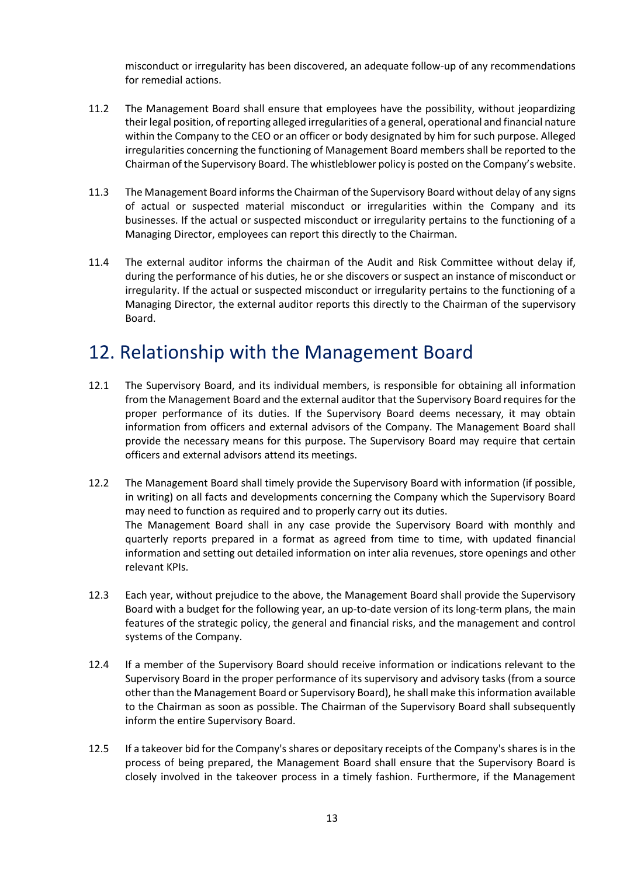misconduct or irregularity has been discovered, an adequate follow-up of any recommendations for remedial actions.

- 11.2 The Management Board shall ensure that employees have the possibility, without jeopardizing their legal position, of reporting alleged irregularities of a general, operational and financial nature within the Company to the CEO or an officer or body designated by him for such purpose. Alleged irregularities concerning the functioning of Management Board members shall be reported to the Chairman of the Supervisory Board. The whistleblower policy is posted on the Company's website.
- 11.3 The Management Board informs the Chairman of the Supervisory Board without delay of any signs of actual or suspected material misconduct or irregularities within the Company and its businesses. If the actual or suspected misconduct or irregularity pertains to the functioning of a Managing Director, employees can report this directly to the Chairman.
- 11.4 The external auditor informs the chairman of the Audit and Risk Committee without delay if, during the performance of his duties, he or she discovers or suspect an instance of misconduct or irregularity. If the actual or suspected misconduct or irregularity pertains to the functioning of a Managing Director, the external auditor reports this directly to the Chairman of the supervisory Board.

### 12. Relationship with the Management Board

- 12.1 The Supervisory Board, and its individual members, is responsible for obtaining all information from the Management Board and the external auditor that the Supervisory Board requires for the proper performance of its duties. If the Supervisory Board deems necessary, it may obtain information from officers and external advisors of the Company. The Management Board shall provide the necessary means for this purpose. The Supervisory Board may require that certain officers and external advisors attend its meetings.
- 12.2 The Management Board shall timely provide the Supervisory Board with information (if possible, in writing) on all facts and developments concerning the Company which the Supervisory Board may need to function as required and to properly carry out its duties. The Management Board shall in any case provide the Supervisory Board with monthly and quarterly reports prepared in a format as agreed from time to time, with updated financial information and setting out detailed information on inter alia revenues, store openings and other relevant KPIs.
- 12.3 Each year, without prejudice to the above, the Management Board shall provide the Supervisory Board with a budget for the following year, an up-to-date version of its long-term plans, the main features of the strategic policy, the general and financial risks, and the management and control systems of the Company.
- 12.4 If a member of the Supervisory Board should receive information or indications relevant to the Supervisory Board in the proper performance of its supervisory and advisory tasks (from a source other than the Management Board or Supervisory Board), he shall make this information available to the Chairman as soon as possible. The Chairman of the Supervisory Board shall subsequently inform the entire Supervisory Board.
- 12.5 If a takeover bid for the Company's shares or depositary receipts of the Company's shares is in the process of being prepared, the Management Board shall ensure that the Supervisory Board is closely involved in the takeover process in a timely fashion. Furthermore, if the Management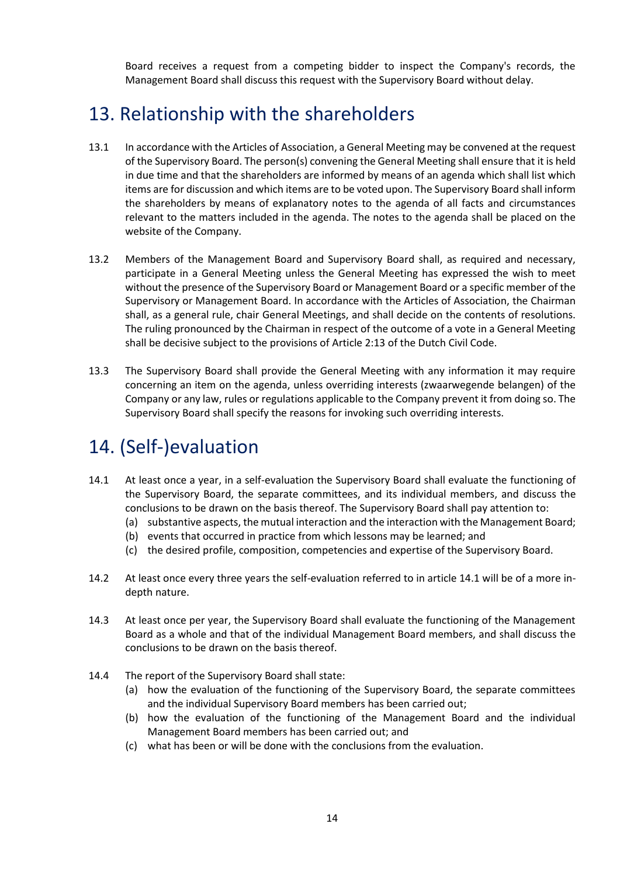Board receives a request from a competing bidder to inspect the Company's records, the Management Board shall discuss this request with the Supervisory Board without delay.

### 13. Relationship with the shareholders

- 13.1 In accordance with the Articles of Association, a General Meeting may be convened at the request of the Supervisory Board. The person(s) convening the General Meeting shall ensure that it is held in due time and that the shareholders are informed by means of an agenda which shall list which items are for discussion and which items are to be voted upon. The Supervisory Board shall inform the shareholders by means of explanatory notes to the agenda of all facts and circumstances relevant to the matters included in the agenda. The notes to the agenda shall be placed on the website of the Company.
- 13.2 Members of the Management Board and Supervisory Board shall, as required and necessary, participate in a General Meeting unless the General Meeting has expressed the wish to meet without the presence of the Supervisory Board or Management Board or a specific member of the Supervisory or Management Board. In accordance with the Articles of Association, the Chairman shall, as a general rule, chair General Meetings, and shall decide on the contents of resolutions. The ruling pronounced by the Chairman in respect of the outcome of a vote in a General Meeting shall be decisive subject to the provisions of Article 2:13 of the Dutch Civil Code.
- 13.3 The Supervisory Board shall provide the General Meeting with any information it may require concerning an item on the agenda, unless overriding interests (zwaarwegende belangen) of the Company or any law, rules or regulations applicable to the Company prevent it from doing so. The Supervisory Board shall specify the reasons for invoking such overriding interests.

# 14. (Self-)evaluation

- 14.1 At least once a year, in a self-evaluation the Supervisory Board shall evaluate the functioning of the Supervisory Board, the separate committees, and its individual members, and discuss the conclusions to be drawn on the basis thereof. The Supervisory Board shall pay attention to:
	- (a) substantive aspects, the mutual interaction and the interaction with the Management Board;
	- (b) events that occurred in practice from which lessons may be learned; and
	- (c) the desired profile, composition, competencies and expertise of the Supervisory Board.
- 14.2 At least once every three years the self-evaluation referred to in article 14.1 will be of a more indepth nature.
- 14.3 At least once per year, the Supervisory Board shall evaluate the functioning of the Management Board as a whole and that of the individual Management Board members, and shall discuss the conclusions to be drawn on the basis thereof.
- 14.4 The report of the Supervisory Board shall state:
	- (a) how the evaluation of the functioning of the Supervisory Board, the separate committees and the individual Supervisory Board members has been carried out;
	- (b) how the evaluation of the functioning of the Management Board and the individual Management Board members has been carried out; and
	- (c) what has been or will be done with the conclusions from the evaluation.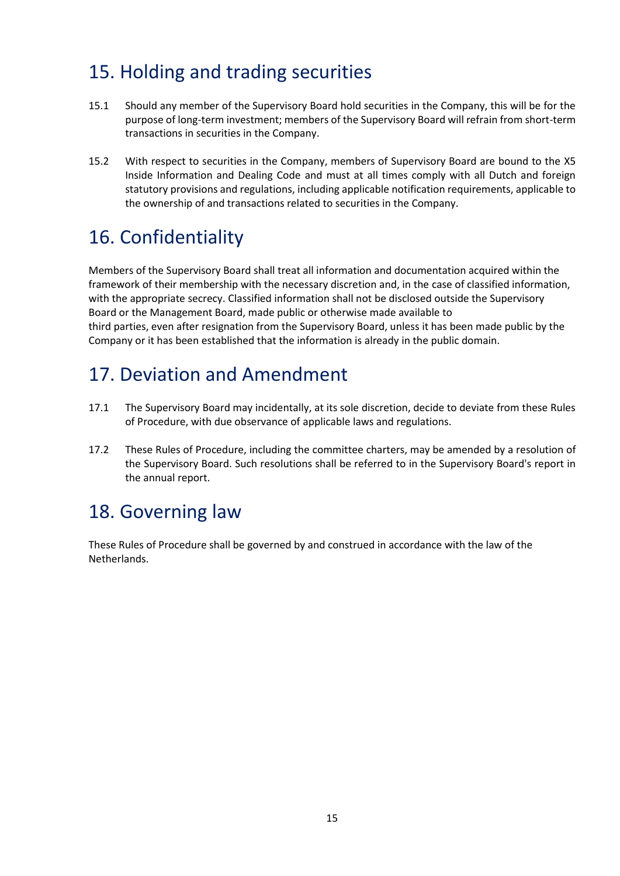# 15. Holding and trading securities

- 15.1 Should any member of the Supervisory Board hold securities in the Company, this will be for the purpose of long-term investment; members of the Supervisory Board will refrain from short-term transactions in securities in the Company.
- 15.2 With respect to securities in the Company, members of Supervisory Board are bound to the X5 Inside Information and Dealing Code and must at all times comply with all Dutch and foreign statutory provisions and regulations, including applicable notification requirements, applicable to the ownership of and transactions related to securities in the Company.

# 16. Confidentiality

Members of the Supervisory Board shall treat all information and documentation acquired within the framework of their membership with the necessary discretion and, in the case of classified information, with the appropriate secrecy. Classified information shall not be disclosed outside the Supervisory Board or the Management Board, made public or otherwise made available to third parties, even after resignation from the Supervisory Board, unless it has been made public by the Company or it has been established that the information is already in the public domain.

# 17. Deviation and Amendment

- 17.1 The Supervisory Board may incidentally, at its sole discretion, decide to deviate from these Rules of Procedure, with due observance of applicable laws and regulations.
- 17.2 These Rules of Procedure, including the committee charters, may be amended by a resolution of the Supervisory Board. Such resolutions shall be referred to in the Supervisory Board's report in the annual report.

# 18. Governing law

These Rules of Procedure shall be governed by and construed in accordance with the law of the **Netherlands**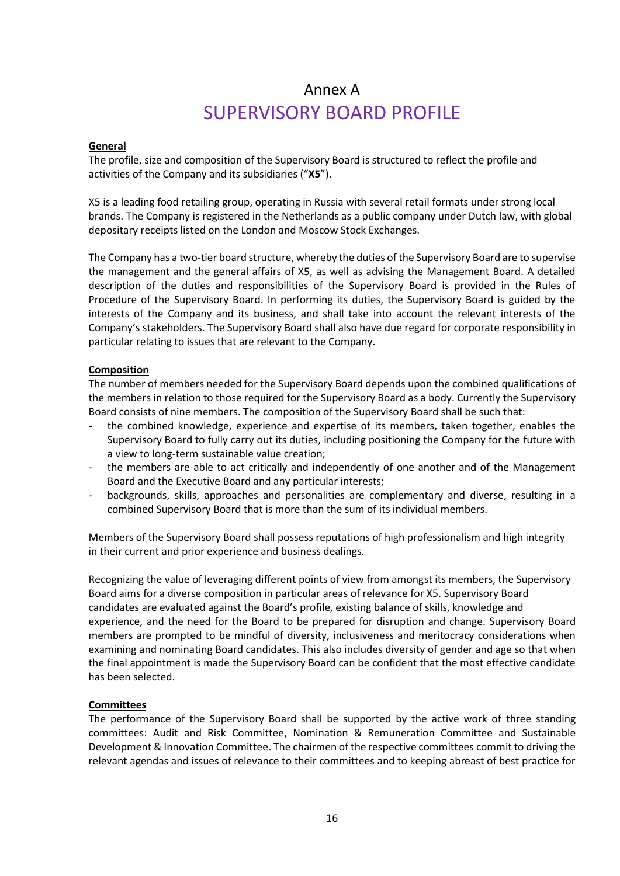## Annex A SUPERVISORY BOARD PROFILE

#### **General**

The profile, size and composition of the Supervisory Board is structured to reflect the profile and activities of the Company and its subsidiaries ("**X5**").

X5 is a leading food retailing group, operating in Russia with several retail formats under strong local brands. The Company is registered in the Netherlands as a public company under Dutch law, with global depositary receipts listed on the London and Moscow Stock Exchanges.

The Company has a two-tier board structure, whereby the duties of the Supervisory Board are to supervise the management and the general affairs of X5, as well as advising the Management Board. A detailed description of the duties and responsibilities of the Supervisory Board is provided in the Rules of Procedure of the Supervisory Board. In performing its duties, the Supervisory Board is guided by the interests of the Company and its business, and shall take into account the relevant interests of the Company's stakeholders. The Supervisory Board shall also have due regard for corporate responsibility in particular relating to issues that are relevant to the Company.

#### **Composition**

The number of members needed for the Supervisory Board depends upon the combined qualifications of the members in relation to those required for the Supervisory Board as a body. Currently the Supervisory Board consists of nine members. The composition of the Supervisory Board shall be such that:

- the combined knowledge, experience and expertise of its members, taken together, enables the Supervisory Board to fully carry out its duties, including positioning the Company for the future with a view to long-term sustainable value creation;
- the members are able to act critically and independently of one another and of the Management Board and the Executive Board and any particular interests;
- backgrounds, skills, approaches and personalities are complementary and diverse, resulting in a combined Supervisory Board that is more than the sum of its individual members.

Members of the Supervisory Board shall possess reputations of high professionalism and high integrity in their current and prior experience and business dealings.

Recognizing the value of leveraging different points of view from amongst its members, the Supervisory Board aims for a diverse composition in particular areas of relevance for X5. Supervisory Board candidates are evaluated against the Board's profile, existing balance of skills, knowledge and experience, and the need for the Board to be prepared for disruption and change. Supervisory Board members are prompted to be mindful of diversity, inclusiveness and meritocracy considerations when examining and nominating Board candidates. This also includes diversity of gender and age so that when the final appointment is made the Supervisory Board can be confident that the most effective candidate has been selected.

#### **Committees**

The performance of the Supervisory Board shall be supported by the active work of three standing committees: Audit and Risk Committee, Nomination & Remuneration Committee and Sustainable Development & Innovation Committee. The chairmen of the respective committees commit to driving the relevant agendas and issues of relevance to their committees and to keeping abreast of best practice for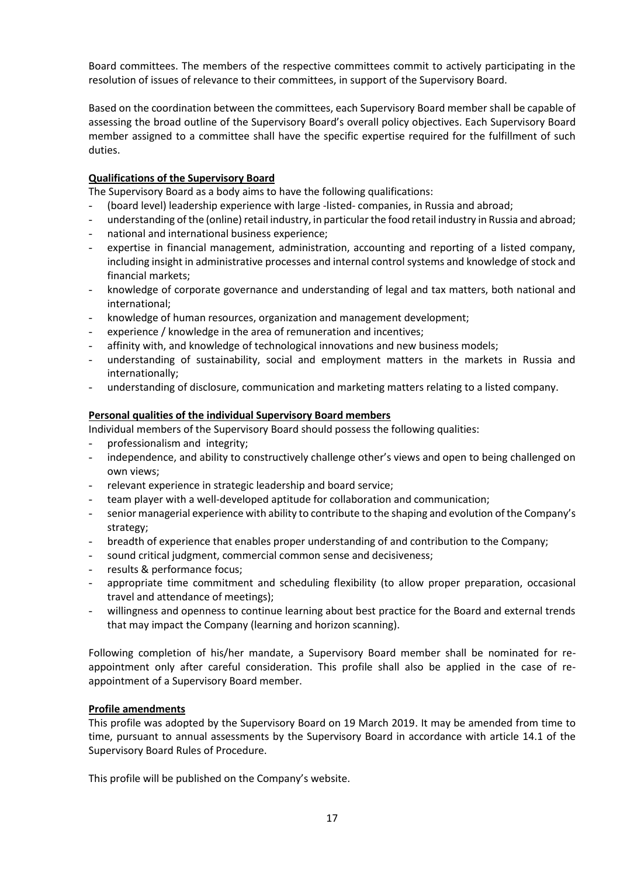Board committees. The members of the respective committees commit to actively participating in the resolution of issues of relevance to their committees, in support of the Supervisory Board.

Based on the coordination between the committees, each Supervisory Board member shall be capable of assessing the broad outline of the Supervisory Board's overall policy objectives. Each Supervisory Board member assigned to a committee shall have the specific expertise required for the fulfillment of such duties.

#### **Qualifications of the Supervisory Board**

The Supervisory Board as a body aims to have the following qualifications:

- (board level) leadership experience with large -listed- companies, in Russia and abroad;
- understanding of the (online) retail industry, in particular the food retail industry in Russia and abroad;
- national and international business experience;
- expertise in financial management, administration, accounting and reporting of a listed company, including insight in administrative processes and internal control systems and knowledge of stock and financial markets;
- knowledge of corporate governance and understanding of legal and tax matters, both national and international;
- knowledge of human resources, organization and management development;
- experience / knowledge in the area of remuneration and incentives;
- affinity with, and knowledge of technological innovations and new business models;
- understanding of sustainability, social and employment matters in the markets in Russia and internationally;
- understanding of disclosure, communication and marketing matters relating to a listed company.

#### **Personal qualities of the individual Supervisory Board members**

Individual members of the Supervisory Board should possess the following qualities:

- professionalism and integrity;
- independence, and ability to constructively challenge other's views and open to being challenged on own views;
- relevant experience in strategic leadership and board service;
- team player with a well-developed aptitude for collaboration and communication;
- senior managerial experience with ability to contribute to the shaping and evolution of the Company's strategy;
- breadth of experience that enables proper understanding of and contribution to the Company;
- sound critical judgment, commercial common sense and decisiveness;
- results & performance focus:
- appropriate time commitment and scheduling flexibility (to allow proper preparation, occasional travel and attendance of meetings);
- willingness and openness to continue learning about best practice for the Board and external trends that may impact the Company (learning and horizon scanning).

Following completion of his/her mandate, a Supervisory Board member shall be nominated for reappointment only after careful consideration. This profile shall also be applied in the case of reappointment of a Supervisory Board member.

#### **Profile amendments**

This profile was adopted by the Supervisory Board on 19 March 2019. It may be amended from time to time, pursuant to annual assessments by the Supervisory Board in accordance with article 14.1 of the Supervisory Board Rules of Procedure.

This profile will be published on the Company's website.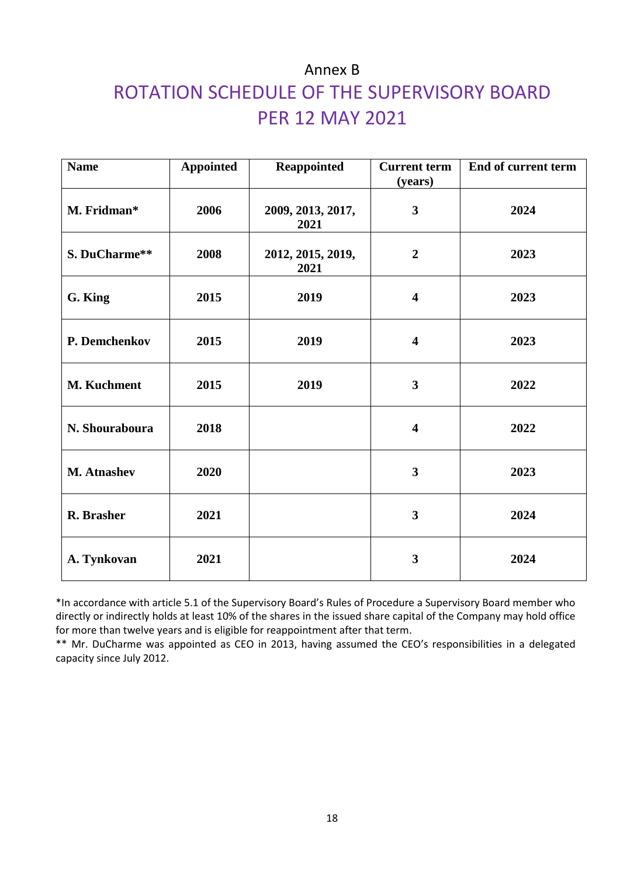# Annex B ROTATION SCHEDULE OF THE SUPERVISORY BOARD PER 12 MAY 2021

| <b>Name</b>        | <b>Appointed</b> | <b>Reappointed</b>        | <b>Current term</b><br>(years) | End of current term |
|--------------------|------------------|---------------------------|--------------------------------|---------------------|
| M. Fridman*        | 2006             | 2009, 2013, 2017,<br>2021 | $\mathbf{3}$                   | 2024                |
| S. DuCharme**      | 2008             | 2012, 2015, 2019,<br>2021 | $\overline{2}$                 | 2023                |
| G. King            | 2015             | 2019                      | $\overline{\mathbf{4}}$        | 2023                |
| P. Demchenkov      | 2015             | 2019                      | $\overline{\mathbf{4}}$        | 2023                |
| <b>M. Kuchment</b> | 2015             | 2019                      | $\overline{\mathbf{3}}$        | 2022                |
| N. Shouraboura     | 2018             |                           | $\overline{\mathbf{4}}$        | 2022                |
| <b>M. Atnashev</b> | 2020             |                           | 3                              | 2023                |
| R. Brasher         | 2021             |                           | $\mathbf{3}$                   | 2024                |
| A. Tynkovan        | 2021             |                           | $\overline{\mathbf{3}}$        | 2024                |

\*In accordance with article 5.1 of the Supervisory Board's Rules of Procedure a Supervisory Board member who directly or indirectly holds at least 10% of the shares in the issued share capital of the Company may hold office for more than twelve years and is eligible for reappointment after that term.

\*\* Mr. DuCharme was appointed as CEO in 2013, having assumed the CEO's responsibilities in a delegated capacity since July 2012.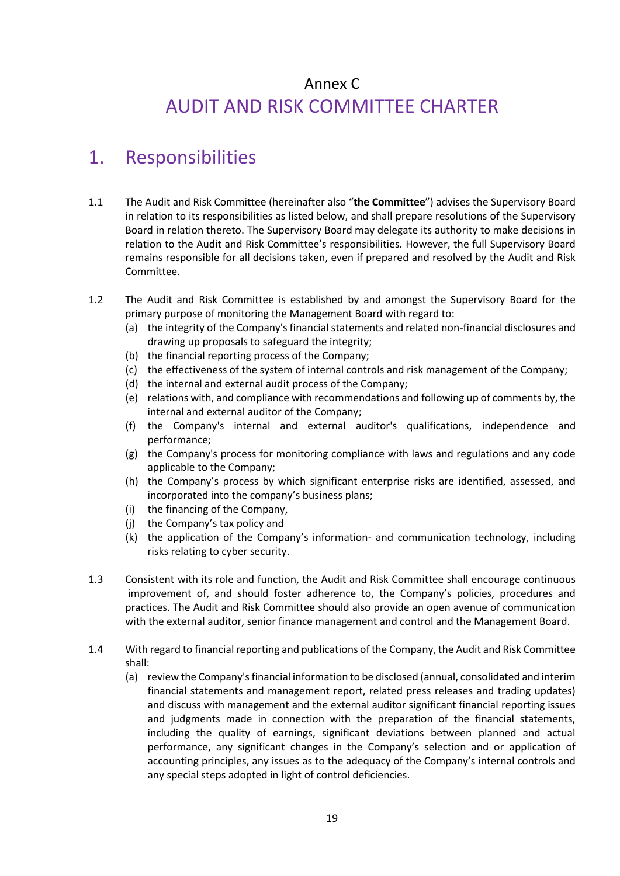## Annex C AUDIT AND RISK COMMITTEE CHARTER

### 1. Responsibilities

- 1.1 The Audit and Risk Committee (hereinafter also "**the Committee**") advises the Supervisory Board in relation to its responsibilities as listed below, and shall prepare resolutions of the Supervisory Board in relation thereto. The Supervisory Board may delegate its authority to make decisions in relation to the Audit and Risk Committee's responsibilities. However, the full Supervisory Board remains responsible for all decisions taken, even if prepared and resolved by the Audit and Risk Committee.
- 1.2 The Audit and Risk Committee is established by and amongst the Supervisory Board for the primary purpose of monitoring the Management Board with regard to:
	- (a) the integrity of the Company's financial statements and related non-financial disclosures and drawing up proposals to safeguard the integrity;
	- (b) the financial reporting process of the Company;
	- (c) the effectiveness of the system of internal controls and risk management of the Company;
	- (d) the internal and external audit process of the Company;
	- (e) relations with, and compliance with recommendations and following up of comments by, the internal and external auditor of the Company;
	- (f) the Company's internal and external auditor's qualifications, independence and performance;
	- (g) the Company's process for monitoring compliance with laws and regulations and any code applicable to the Company;
	- (h) the Company's process by which significant enterprise risks are identified, assessed, and incorporated into the company's business plans;
	- (i) the financing of the Company,
	- (j) the Company's tax policy and
	- (k) the application of the Company's information- and communication technology, including risks relating to cyber security.
- 1.3 Consistent with its role and function, the Audit and Risk Committee shall encourage continuous improvement of, and should foster adherence to, the Company's policies, procedures and practices. The Audit and Risk Committee should also provide an open avenue of communication with the external auditor, senior finance management and control and the Management Board.
- 1.4 With regard to financial reporting and publications of the Company, the Audit and Risk Committee shall:
	- (a) review the Company's financial information to be disclosed (annual, consolidated and interim financial statements and management report, related press releases and trading updates) and discuss with management and the external auditor significant financial reporting issues and judgments made in connection with the preparation of the financial statements, including the quality of earnings, significant deviations between planned and actual performance, any significant changes in the Company's selection and or application of accounting principles, any issues as to the adequacy of the Company's internal controls and any special steps adopted in light of control deficiencies.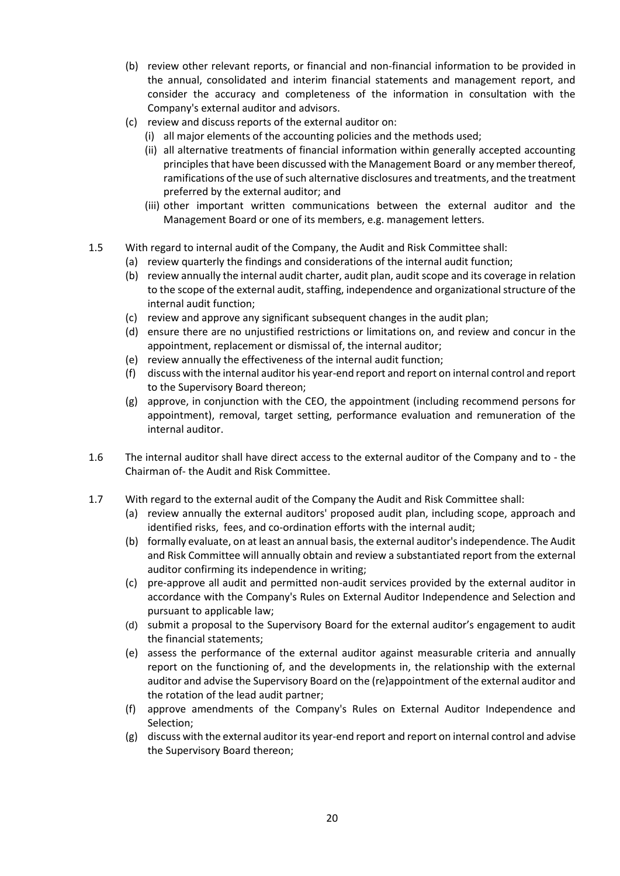- (b) review other relevant reports, or financial and non-financial information to be provided in the annual, consolidated and interim financial statements and management report, and consider the accuracy and completeness of the information in consultation with the Company's external auditor and advisors.
- (c) review and discuss reports of the external auditor on:
	- (i) all major elements of the accounting policies and the methods used;
	- (ii) all alternative treatments of financial information within generally accepted accounting principles that have been discussed with the Management Board or any member thereof, ramifications of the use of such alternative disclosures and treatments, and the treatment preferred by the external auditor; and
	- (iii) other important written communications between the external auditor and the Management Board or one of its members, e.g. management letters.
- 1.5 With regard to internal audit of the Company, the Audit and Risk Committee shall:
	- (a) review quarterly the findings and considerations of the internal audit function;
	- (b) review annually the internal audit charter, audit plan, audit scope and its coverage in relation to the scope of the external audit, staffing, independence and organizational structure of the internal audit function;
	- (c) review and approve any significant subsequent changes in the audit plan;
	- (d) ensure there are no unjustified restrictions or limitations on, and review and concur in the appointment, replacement or dismissal of, the internal auditor;
	- (e) review annually the effectiveness of the internal audit function;
	- (f) discuss with the internal auditor his year-end report and report on internal control and report to the Supervisory Board thereon;
	- (g) approve, in conjunction with the CEO, the appointment (including recommend persons for appointment), removal, target setting, performance evaluation and remuneration of the internal auditor.
- 1.6 The internal auditor shall have direct access to the external auditor of the Company and to the Chairman of- the Audit and Risk Committee.
- 1.7 With regard to the external audit of the Company the Audit and Risk Committee shall:
	- (a) review annually the external auditors' proposed audit plan, including scope, approach and identified risks, fees, and co-ordination efforts with the internal audit;
	- (b) formally evaluate, on at least an annual basis, the external auditor's independence. The Audit and Risk Committee will annually obtain and review a substantiated report from the external auditor confirming its independence in writing;
	- (c) pre-approve all audit and permitted non-audit services provided by the external auditor in accordance with the Company's Rules on External Auditor Independence and Selection and pursuant to applicable law;
	- (d) submit a proposal to the Supervisory Board for the external auditor's engagement to audit the financial statements;
	- (e) assess the performance of the external auditor against measurable criteria and annually report on the functioning of, and the developments in, the relationship with the external auditor and advise the Supervisory Board on the (re)appointment of the external auditor and the rotation of the lead audit partner;
	- (f) approve amendments of the Company's Rules on External Auditor Independence and Selection;
	- (g) discuss with the external auditor its year-end report and report on internal control and advise the Supervisory Board thereon;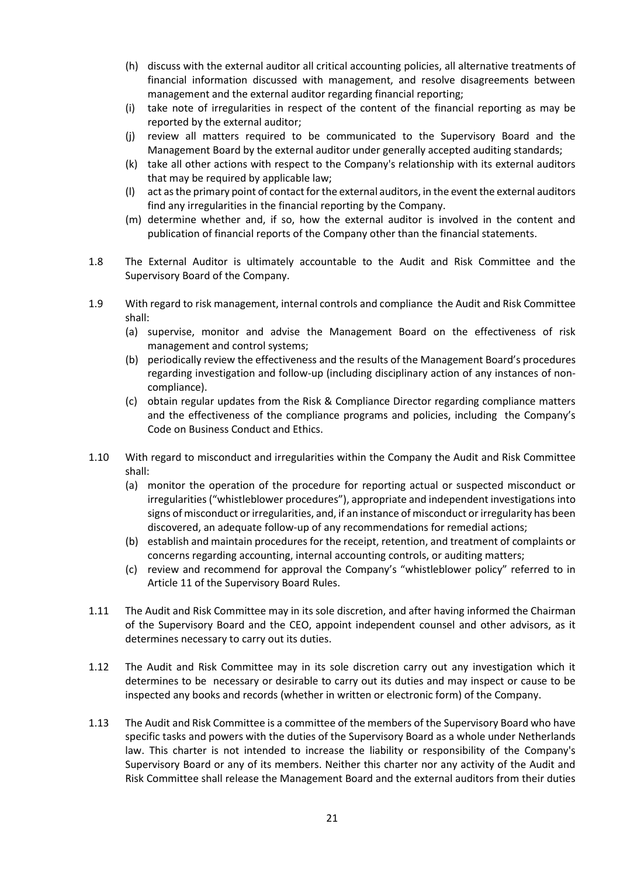- (h) discuss with the external auditor all critical accounting policies, all alternative treatments of financial information discussed with management, and resolve disagreements between management and the external auditor regarding financial reporting;
- (i) take note of irregularities in respect of the content of the financial reporting as may be reported by the external auditor;
- (j) review all matters required to be communicated to the Supervisory Board and the Management Board by the external auditor under generally accepted auditing standards;
- (k) take all other actions with respect to the Company's relationship with its external auditors that may be required by applicable law;
- (l) act as the primary point of contact for the external auditors, in the event the external auditors find any irregularities in the financial reporting by the Company.
- (m) determine whether and, if so, how the external auditor is involved in the content and publication of financial reports of the Company other than the financial statements.
- 1.8 The External Auditor is ultimately accountable to the Audit and Risk Committee and the Supervisory Board of the Company.
- 1.9 With regard to risk management, internal controls and compliance the Audit and Risk Committee shall:
	- (a) supervise, monitor and advise the Management Board on the effectiveness of risk management and control systems;
	- (b) periodically review the effectiveness and the results of the Management Board's procedures regarding investigation and follow-up (including disciplinary action of any instances of noncompliance).
	- (c) obtain regular updates from the Risk & Compliance Director regarding compliance matters and the effectiveness of the compliance programs and policies, including the Company's Code on Business Conduct and Ethics.
- 1.10 With regard to misconduct and irregularities within the Company the Audit and Risk Committee shall:
	- (a) monitor the operation of the procedure for reporting actual or suspected misconduct or irregularities ("whistleblower procedures"), appropriate and independent investigations into signs of misconduct or irregularities, and, if an instance of misconduct or irregularity has been discovered, an adequate follow-up of any recommendations for remedial actions;
	- (b) establish and maintain procedures for the receipt, retention, and treatment of complaints or concerns regarding accounting, internal accounting controls, or auditing matters;
	- (c) review and recommend for approval the Company's "whistleblower policy" referred to in Article 11 of the Supervisory Board Rules.
- 1.11 The Audit and Risk Committee may in its sole discretion, and after having informed the Chairman of the Supervisory Board and the CEO, appoint independent counsel and other advisors, as it determines necessary to carry out its duties.
- 1.12 The Audit and Risk Committee may in its sole discretion carry out any investigation which it determines to be necessary or desirable to carry out its duties and may inspect or cause to be inspected any books and records (whether in written or electronic form) of the Company.
- 1.13 The Audit and Risk Committee is a committee of the members of the Supervisory Board who have specific tasks and powers with the duties of the Supervisory Board as a whole under Netherlands law. This charter is not intended to increase the liability or responsibility of the Company's Supervisory Board or any of its members. Neither this charter nor any activity of the Audit and Risk Committee shall release the Management Board and the external auditors from their duties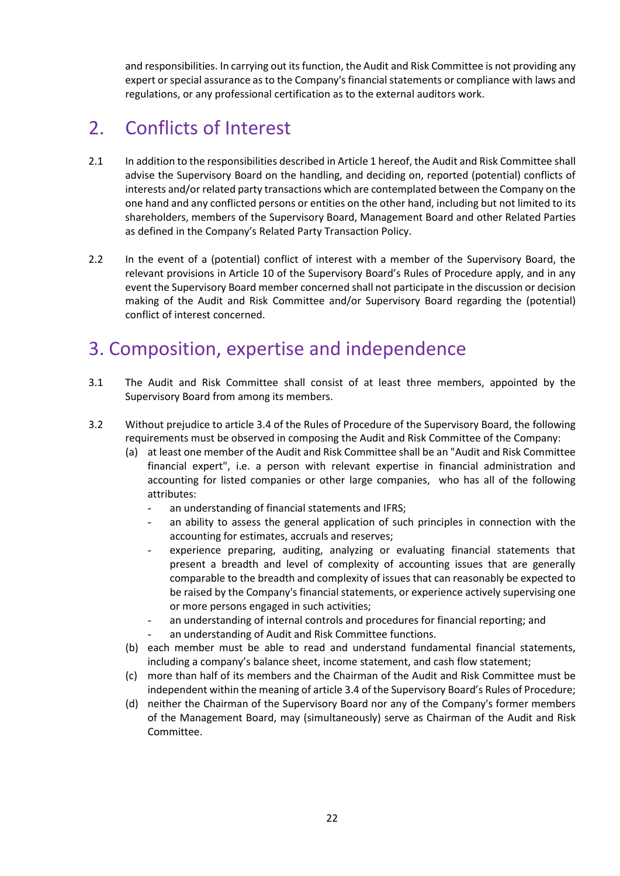and responsibilities. In carrying out its function, the Audit and Risk Committee is not providing any expert or special assurance as to the Company's financial statements or compliance with laws and regulations, or any professional certification as to the external auditors work.

# 2. Conflicts of Interest

- 2.1 In addition to the responsibilities described in Article 1 hereof, the Audit and Risk Committee shall advise the Supervisory Board on the handling, and deciding on, reported (potential) conflicts of interests and/or related party transactions which are contemplated between the Company on the one hand and any conflicted persons or entities on the other hand, including but not limited to its shareholders, members of the Supervisory Board, Management Board and other Related Parties as defined in the Company's Related Party Transaction Policy.
- 2.2 In the event of a (potential) conflict of interest with a member of the Supervisory Board, the relevant provisions in Article 10 of the Supervisory Board's Rules of Procedure apply, and in any event the Supervisory Board member concerned shall not participate in the discussion or decision making of the Audit and Risk Committee and/or Supervisory Board regarding the (potential) conflict of interest concerned.

## 3. Composition, expertise and independence

- 3.1 The Audit and Risk Committee shall consist of at least three members, appointed by the Supervisory Board from among its members.
- 3.2 Without prejudice to article 3.4 of the Rules of Procedure of the Supervisory Board, the following requirements must be observed in composing the Audit and Risk Committee of the Company:
	- (a) at least one member of the Audit and Risk Committee shall be an "Audit and Risk Committee financial expert", i.e. a person with relevant expertise in financial administration and accounting for listed companies or other large companies, who has all of the following attributes:
		- an understanding of financial statements and IFRS;
		- an ability to assess the general application of such principles in connection with the accounting for estimates, accruals and reserves;
		- experience preparing, auditing, analyzing or evaluating financial statements that present a breadth and level of complexity of accounting issues that are generally comparable to the breadth and complexity of issues that can reasonably be expected to be raised by the Company's financial statements, or experience actively supervising one or more persons engaged in such activities;
		- an understanding of internal controls and procedures for financial reporting; and
		- an understanding of Audit and Risk Committee functions.
	- (b) each member must be able to read and understand fundamental financial statements, including a company's balance sheet, income statement, and cash flow statement;
	- (c) more than half of its members and the Chairman of the Audit and Risk Committee must be independent within the meaning of article 3.4 of the Supervisory Board's Rules of Procedure;
	- (d) neither the Chairman of the Supervisory Board nor any of the Company's former members of the Management Board, may (simultaneously) serve as Chairman of the Audit and Risk Committee.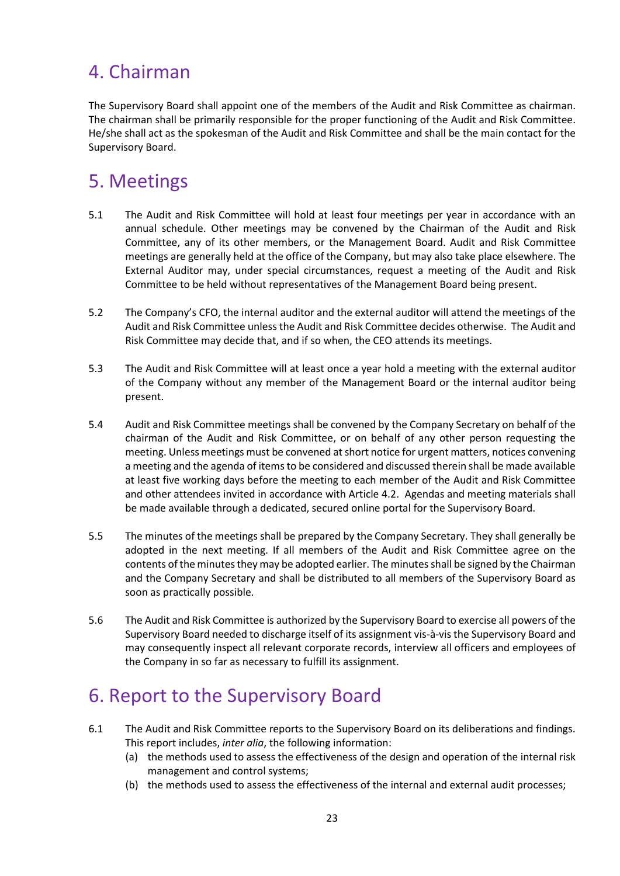# 4. Chairman

The Supervisory Board shall appoint one of the members of the Audit and Risk Committee as chairman. The chairman shall be primarily responsible for the proper functioning of the Audit and Risk Committee. He/she shall act as the spokesman of the Audit and Risk Committee and shall be the main contact for the Supervisory Board.

# 5. Meetings

- 5.1 The Audit and Risk Committee will hold at least four meetings per year in accordance with an annual schedule. Other meetings may be convened by the Chairman of the Audit and Risk Committee, any of its other members, or the Management Board. Audit and Risk Committee meetings are generally held at the office of the Company, but may also take place elsewhere. The External Auditor may, under special circumstances, request a meeting of the Audit and Risk Committee to be held without representatives of the Management Board being present.
- 5.2 The Company's CFO, the internal auditor and the external auditor will attend the meetings of the Audit and Risk Committee unless the Audit and Risk Committee decides otherwise. The Audit and Risk Committee may decide that, and if so when, the CEO attends its meetings.
- 5.3 The Audit and Risk Committee will at least once a year hold a meeting with the external auditor of the Company without any member of the Management Board or the internal auditor being present.
- 5.4 Audit and Risk Committee meetings shall be convened by the Company Secretary on behalf of the chairman of the Audit and Risk Committee, or on behalf of any other person requesting the meeting. Unless meetings must be convened at short notice for urgent matters, notices convening a meeting and the agenda of items to be considered and discussed therein shall be made available at least five working days before the meeting to each member of the Audit and Risk Committee and other attendees invited in accordance with Article 4.2. Agendas and meeting materials shall be made available through a dedicated, secured online portal for the Supervisory Board.
- 5.5 The minutes of the meetings shall be prepared by the Company Secretary. They shall generally be adopted in the next meeting. If all members of the Audit and Risk Committee agree on the contents of the minutes they may be adopted earlier. The minutes shall be signed by the Chairman and the Company Secretary and shall be distributed to all members of the Supervisory Board as soon as practically possible.
- 5.6 The Audit and Risk Committee is authorized by the Supervisory Board to exercise all powers of the Supervisory Board needed to discharge itself of its assignment vis-à-vis the Supervisory Board and may consequently inspect all relevant corporate records, interview all officers and employees of the Company in so far as necessary to fulfill its assignment.

### 6. Report to the Supervisory Board

- 6.1 The Audit and Risk Committee reports to the Supervisory Board on its deliberations and findings. This report includes, *inter alia*, the following information:
	- (a) the methods used to assess the effectiveness of the design and operation of the internal risk management and control systems;
	- (b) the methods used to assess the effectiveness of the internal and external audit processes;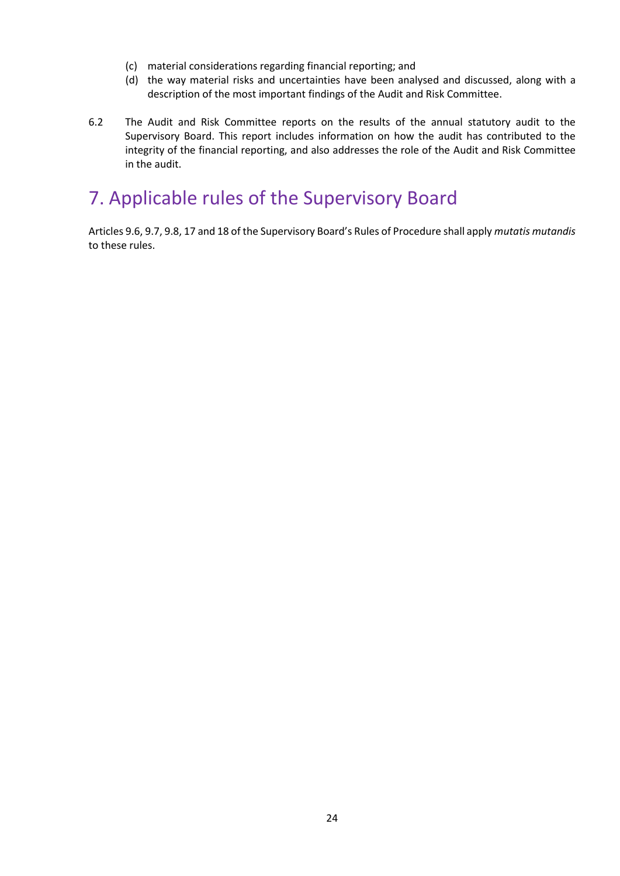- (c) material considerations regarding financial reporting; and
- (d) the way material risks and uncertainties have been analysed and discussed, along with a description of the most important findings of the Audit and Risk Committee.
- 6.2 The Audit and Risk Committee reports on the results of the annual statutory audit to the Supervisory Board. This report includes information on how the audit has contributed to the integrity of the financial reporting, and also addresses the role of the Audit and Risk Committee in the audit.

# 7. Applicable rules of the Supervisory Board

Articles 9.6, 9.7, 9.8, 17 and 18 of the Supervisory Board's Rules of Procedure shall apply *mutatis mutandis* to these rules.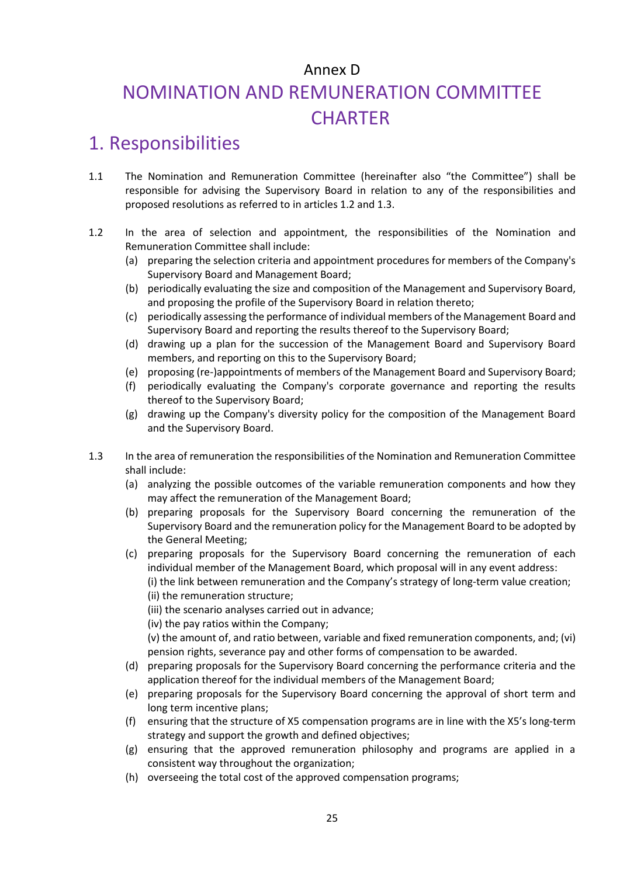# Annex D NOMINATION AND REMUNERATION COMMITTEE **CHARTER**

### 1. Responsibilities

- 1.1 The Nomination and Remuneration Committee (hereinafter also "the Committee") shall be responsible for advising the Supervisory Board in relation to any of the responsibilities and proposed resolutions as referred to in articles 1.2 and 1.3.
- 1.2 In the area of selection and appointment, the responsibilities of the Nomination and Remuneration Committee shall include:
	- (a) preparing the selection criteria and appointment procedures for members of the Company's Supervisory Board and Management Board;
	- (b) periodically evaluating the size and composition of the Management and Supervisory Board, and proposing the profile of the Supervisory Board in relation thereto;
	- (c) periodically assessing the performance of individual members of the Management Board and Supervisory Board and reporting the results thereof to the Supervisory Board;
	- (d) drawing up a plan for the succession of the Management Board and Supervisory Board members, and reporting on this to the Supervisory Board;
	- (e) proposing (re-)appointments of members of the Management Board and Supervisory Board;
	- (f) periodically evaluating the Company's corporate governance and reporting the results thereof to the Supervisory Board;
	- (g) drawing up the Company's diversity policy for the composition of the Management Board and the Supervisory Board.
- 1.3 In the area of remuneration the responsibilities of the Nomination and Remuneration Committee shall include:
	- (a) analyzing the possible outcomes of the variable remuneration components and how they may affect the remuneration of the Management Board;
	- (b) preparing proposals for the Supervisory Board concerning the remuneration of the Supervisory Board and the remuneration policy for the Management Board to be adopted by the General Meeting;
	- (c) preparing proposals for the Supervisory Board concerning the remuneration of each individual member of the Management Board, which proposal will in any event address: (i) the link between remuneration and the Company's strategy of long-term value creation;
		- (ii) the remuneration structure;
		- (iii) the scenario analyses carried out in advance;
		- (iv) the pay ratios within the Company;

(v) the amount of, and ratio between, variable and fixed remuneration components, and; (vi) pension rights, severance pay and other forms of compensation to be awarded.

- (d) preparing proposals for the Supervisory Board concerning the performance criteria and the application thereof for the individual members of the Management Board;
- (e) preparing proposals for the Supervisory Board concerning the approval of short term and long term incentive plans;
- (f) ensuring that the structure of X5 compensation programs are in line with the X5's long-term strategy and support the growth and defined objectives;
- (g) ensuring that the approved remuneration philosophy and programs are applied in a consistent way throughout the organization;
- (h) overseeing the total cost of the approved compensation programs;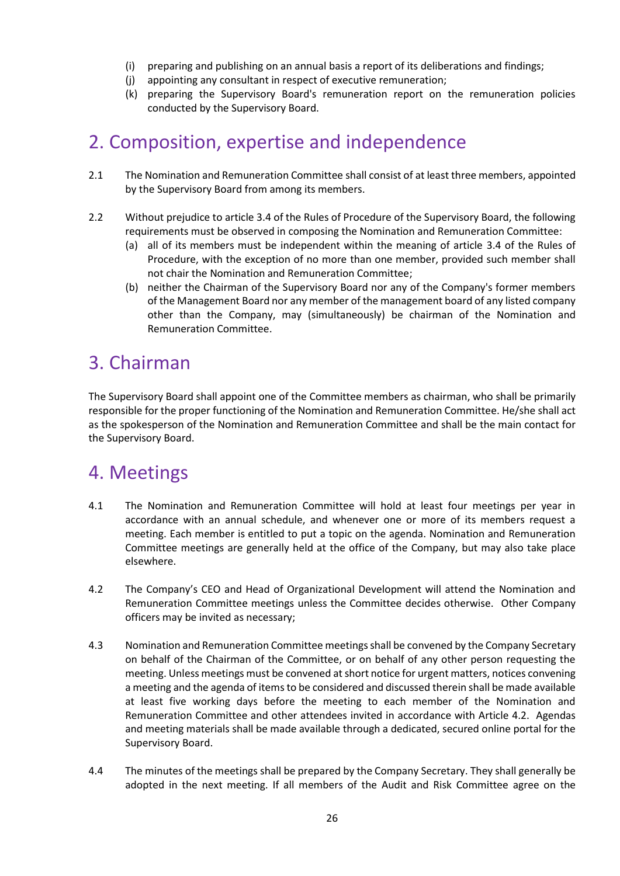- (i) preparing and publishing on an annual basis a report of its deliberations and findings;
- (j) appointing any consultant in respect of executive remuneration;
- (k) preparing the Supervisory Board's remuneration report on the remuneration policies conducted by the Supervisory Board.

### 2. Composition, expertise and independence

- 2.1 The Nomination and Remuneration Committee shall consist of at least three members, appointed by the Supervisory Board from among its members.
- 2.2 Without prejudice to article 3.4 of the Rules of Procedure of the Supervisory Board, the following requirements must be observed in composing the Nomination and Remuneration Committee:
	- (a) all of its members must be independent within the meaning of article 3.4 of the Rules of Procedure, with the exception of no more than one member, provided such member shall not chair the Nomination and Remuneration Committee;
	- (b) neither the Chairman of the Supervisory Board nor any of the Company's former members of the Management Board nor any member of the management board of any listed company other than the Company, may (simultaneously) be chairman of the Nomination and Remuneration Committee.

### 3. Chairman

The Supervisory Board shall appoint one of the Committee members as chairman, who shall be primarily responsible for the proper functioning of the Nomination and Remuneration Committee. He/she shall act as the spokesperson of the Nomination and Remuneration Committee and shall be the main contact for the Supervisory Board.

### 4. Meetings

- 4.1 The Nomination and Remuneration Committee will hold at least four meetings per year in accordance with an annual schedule, and whenever one or more of its members request a meeting. Each member is entitled to put a topic on the agenda. Nomination and Remuneration Committee meetings are generally held at the office of the Company, but may also take place elsewhere.
- 4.2 The Company's CEO and Head of Organizational Development will attend the Nomination and Remuneration Committee meetings unless the Committee decides otherwise. Other Company officers may be invited as necessary;
- 4.3 Nomination and Remuneration Committee meetings shall be convened by the Company Secretary on behalf of the Chairman of the Committee, or on behalf of any other person requesting the meeting. Unless meetings must be convened at short notice for urgent matters, notices convening a meeting and the agenda of items to be considered and discussed therein shall be made available at least five working days before the meeting to each member of the Nomination and Remuneration Committee and other attendees invited in accordance with Article 4.2. Agendas and meeting materials shall be made available through a dedicated, secured online portal for the Supervisory Board.
- 4.4 The minutes of the meetings shall be prepared by the Company Secretary. They shall generally be adopted in the next meeting. If all members of the Audit and Risk Committee agree on the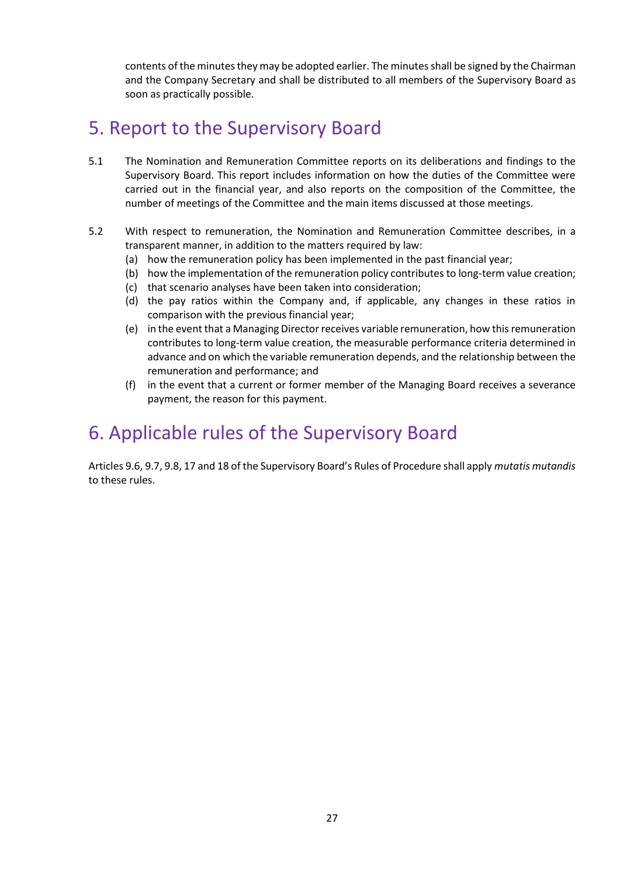contents of the minutes they may be adopted earlier. The minutes shall be signed by the Chairman and the Company Secretary and shall be distributed to all members of the Supervisory Board as soon as practically possible.

## 5. Report to the Supervisory Board

- 5.1 The Nomination and Remuneration Committee reports on its deliberations and findings to the Supervisory Board. This report includes information on how the duties of the Committee were carried out in the financial year, and also reports on the composition of the Committee, the number of meetings of the Committee and the main items discussed at those meetings.
- 5.2 With respect to remuneration, the Nomination and Remuneration Committee describes, in a transparent manner, in addition to the matters required by law:
	- (a) how the remuneration policy has been implemented in the past financial year;
	- (b) how the implementation of the remuneration policy contributes to long-term value creation;
	- (c) that scenario analyses have been taken into consideration;
	- (d) the pay ratios within the Company and, if applicable, any changes in these ratios in comparison with the previous financial year;
	- (e) in the event that a Managing Director receives variable remuneration, how this remuneration contributes to long-term value creation, the measurable performance criteria determined in advance and on which the variable remuneration depends, and the relationship between the remuneration and performance; and
	- (f) in the event that a current or former member of the Managing Board receives a severance payment, the reason for this payment.

# 6. Applicable rules of the Supervisory Board

Articles 9.6, 9.7, 9.8, 17 and 18 of the Supervisory Board's Rules of Procedure shall apply *mutatis mutandis* to these rules.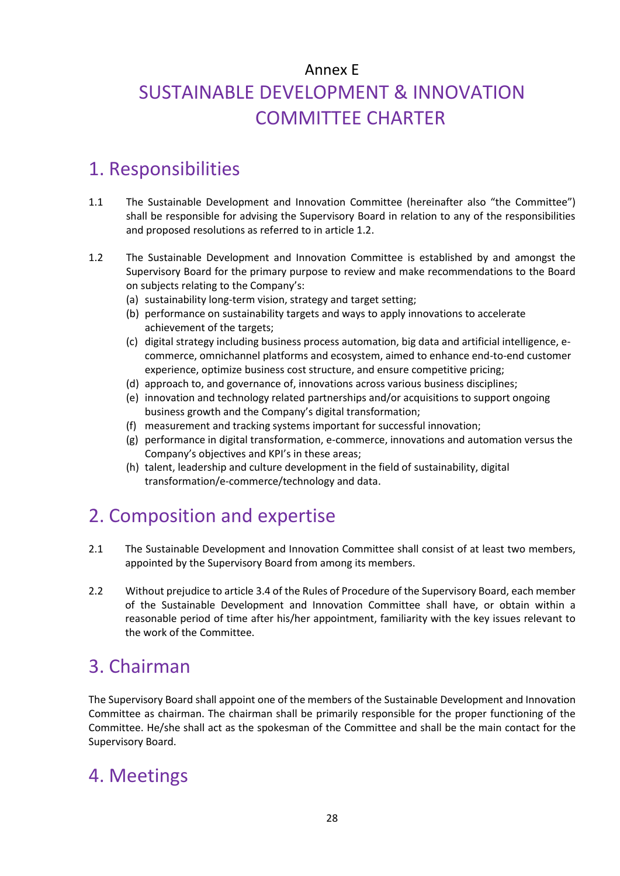# Annex E SUSTAINABLE DEVELOPMENT & INNOVATION COMMITTEE CHARTER

# 1. Responsibilities

- 1.1 The Sustainable Development and Innovation Committee (hereinafter also "the Committee") shall be responsible for advising the Supervisory Board in relation to any of the responsibilities and proposed resolutions as referred to in article 1.2.
- 1.2 The Sustainable Development and Innovation Committee is established by and amongst the Supervisory Board for the primary purpose to review and make recommendations to the Board on subjects relating to the Company's:
	- (a) sustainability long-term vision, strategy and target setting;
	- (b) performance on sustainability targets and ways to apply innovations to accelerate achievement of the targets;
	- (c) digital strategy including business process automation, big data and artificial intelligence, ecommerce, omnichannel platforms and ecosystem, aimed to enhance end-to-end customer experience, optimize business cost structure, and ensure competitive pricing;
	- (d) approach to, and governance of, innovations across various business disciplines;
	- (e) innovation and technology related partnerships and/or acquisitions to support ongoing business growth and the Company's digital transformation;
	- (f) measurement and tracking systems important for successful innovation;
	- (g) performance in digital transformation, e-commerce, innovations and automation versus the Company's objectives and KPI's in these areas;
	- (h) talent, leadership and culture development in the field of sustainability, digital transformation/e-commerce/technology and data.

# 2. Composition and expertise

- 2.1 The Sustainable Development and Innovation Committee shall consist of at least two members, appointed by the Supervisory Board from among its members.
- 2.2 Without prejudice to article 3.4 of the Rules of Procedure of the Supervisory Board, each member of the Sustainable Development and Innovation Committee shall have, or obtain within a reasonable period of time after his/her appointment, familiarity with the key issues relevant to the work of the Committee.

# 3. Chairman

The Supervisory Board shall appoint one of the members of the Sustainable Development and Innovation Committee as chairman. The chairman shall be primarily responsible for the proper functioning of the Committee. He/she shall act as the spokesman of the Committee and shall be the main contact for the Supervisory Board.

# 4. Meetings